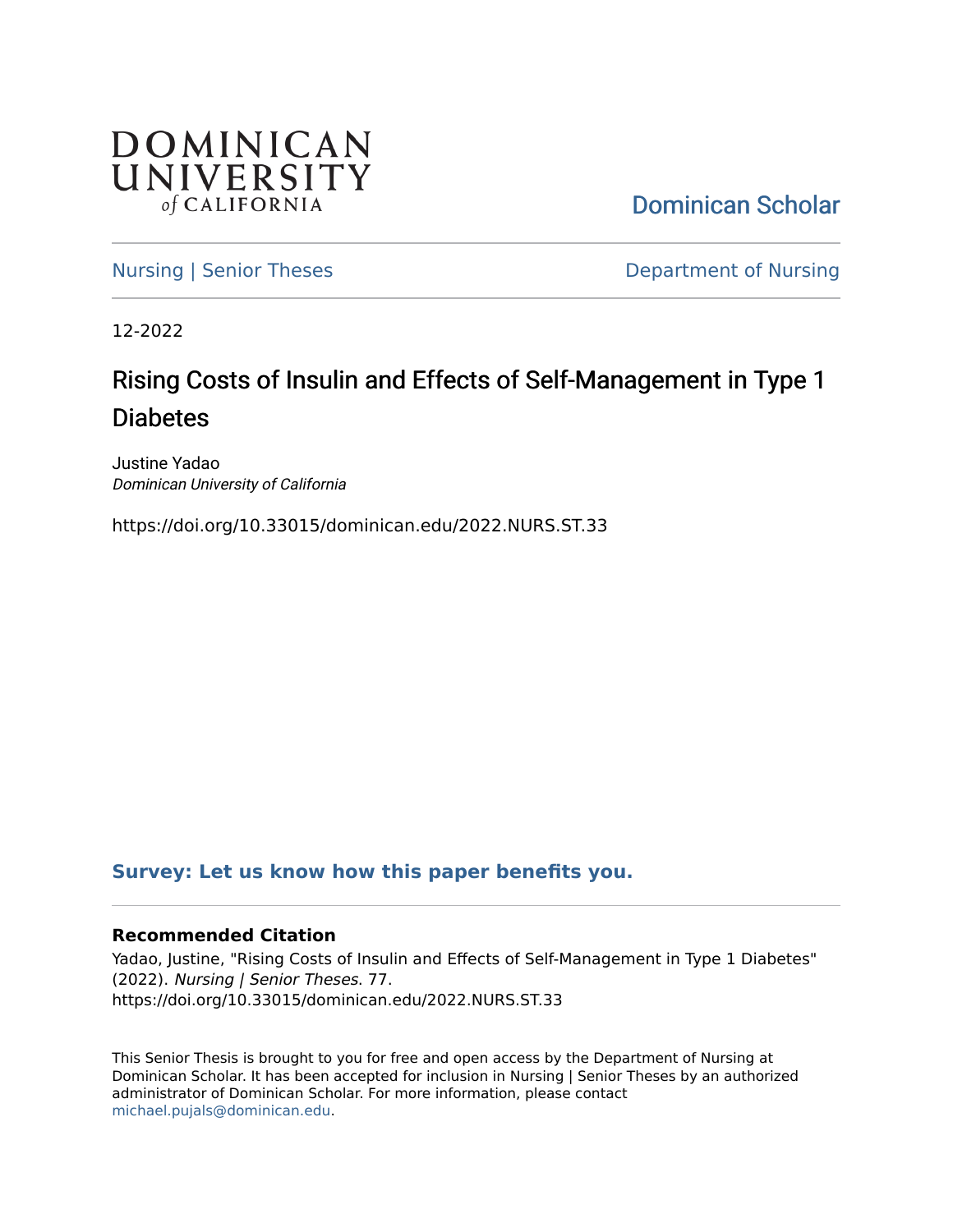

[Dominican Scholar](https://scholar.dominican.edu/) 

[Nursing | Senior Theses](https://scholar.dominican.edu/nursing-senior-theses) **Department of Nursing** 

12-2022

# Rising Costs of Insulin and Effects of Self-Management in Type 1 Diabetes

Justine Yadao Dominican University of California

https://doi.org/10.33015/dominican.edu/2022.NURS.ST.33

## **[Survey: Let us know how this paper benefits you.](https://dominican.libwizard.com/dominican-scholar-feedback)**

### **Recommended Citation**

Yadao, Justine, "Rising Costs of Insulin and Effects of Self-Management in Type 1 Diabetes" (2022). Nursing | Senior Theses. 77. https://doi.org/10.33015/dominican.edu/2022.NURS.ST.33

This Senior Thesis is brought to you for free and open access by the Department of Nursing at Dominican Scholar. It has been accepted for inclusion in Nursing | Senior Theses by an authorized administrator of Dominican Scholar. For more information, please contact [michael.pujals@dominican.edu.](mailto:michael.pujals@dominican.edu)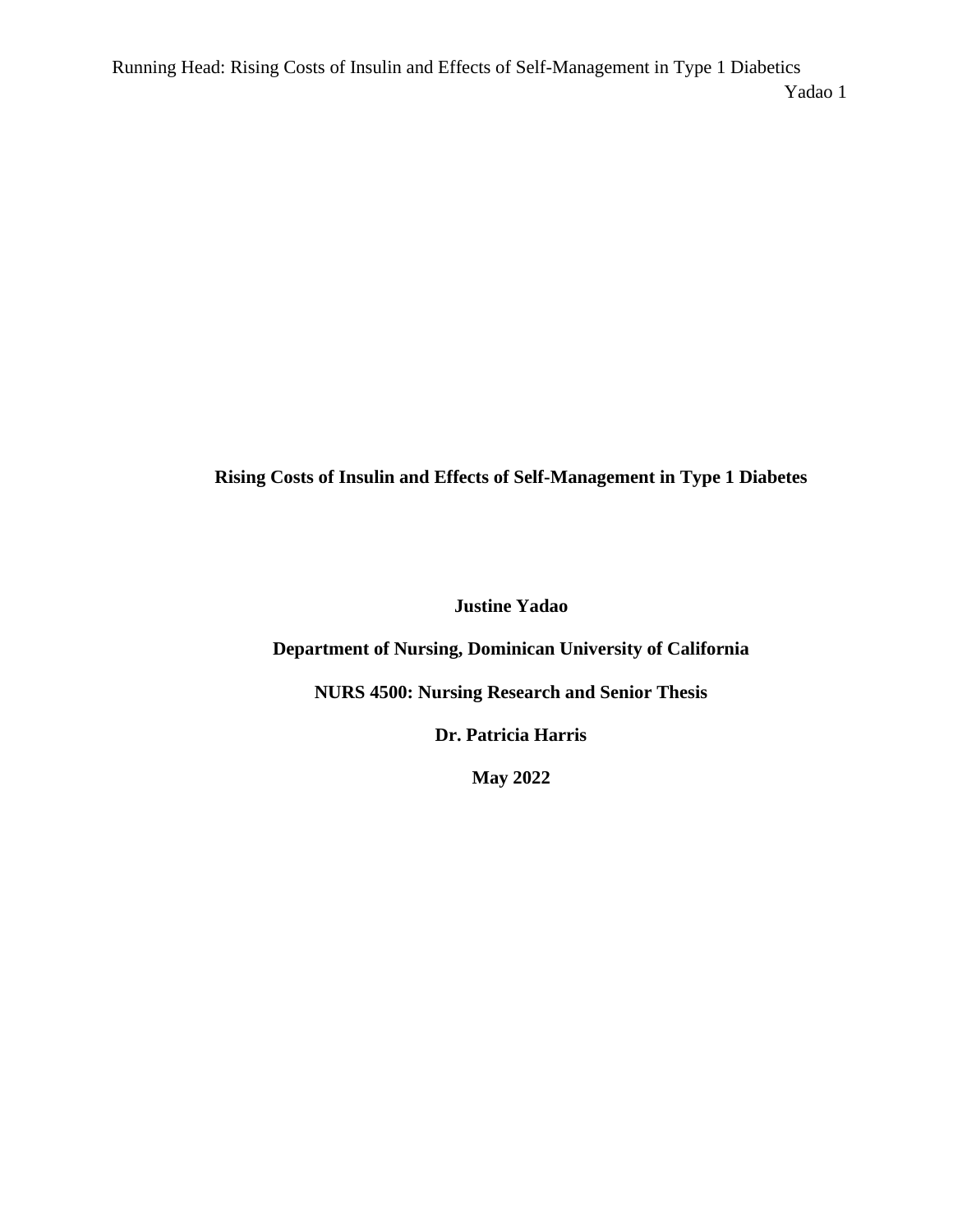**Rising Costs of Insulin and Effects of Self-Management in Type 1 Diabetes** 

**Justine Yadao**

**Department of Nursing, Dominican University of California** 

**NURS 4500: Nursing Research and Senior Thesis**

**Dr. Patricia Harris**

**May 2022**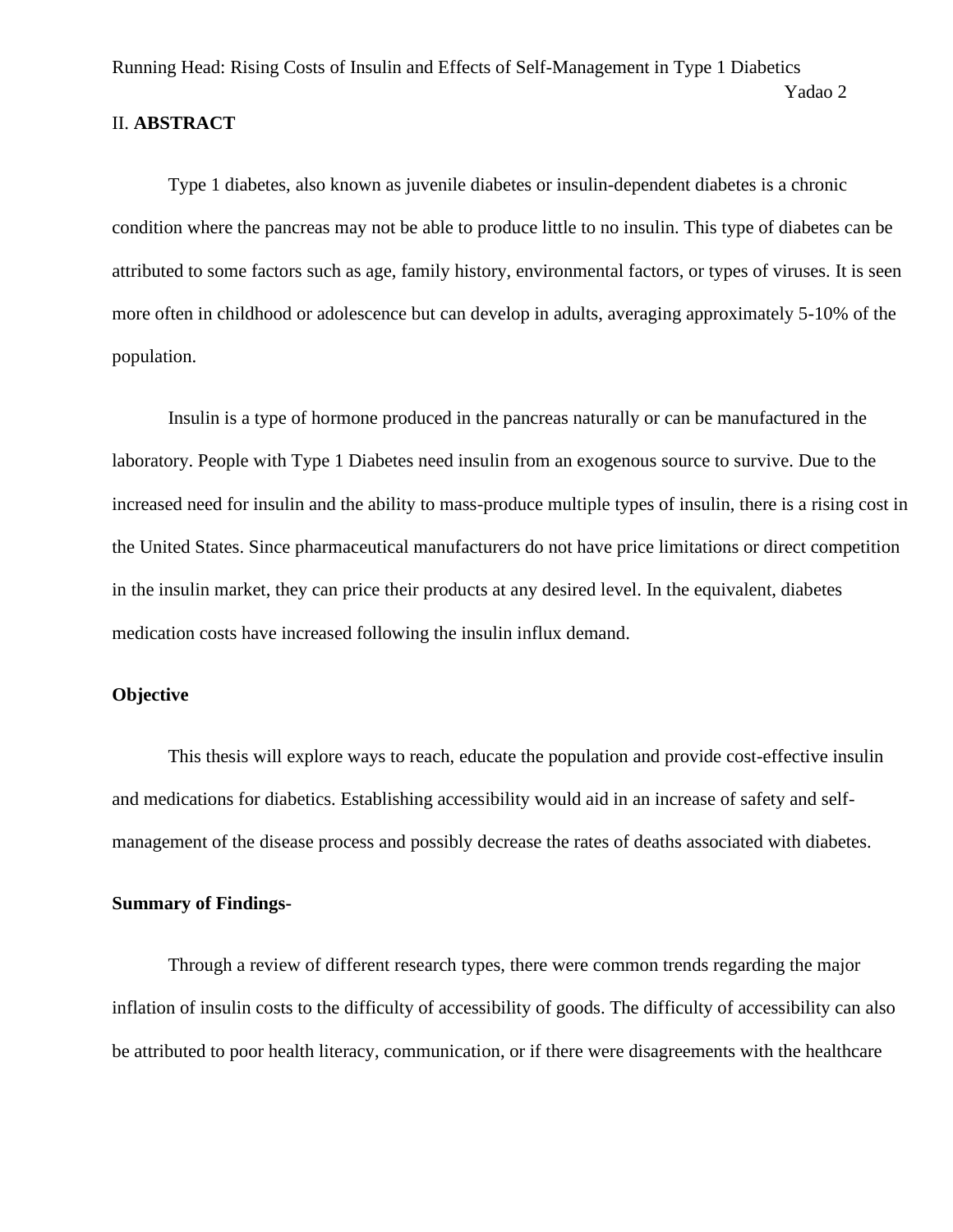#### II. **ABSTRACT**

Type 1 diabetes, also known as juvenile diabetes or insulin-dependent diabetes is a chronic condition where the pancreas may not be able to produce little to no insulin. This type of diabetes can be attributed to some factors such as age, family history, environmental factors, or types of viruses. It is seen more often in childhood or adolescence but can develop in adults, averaging approximately 5-10% of the population.

Yadao 2

Insulin is a type of hormone produced in the pancreas naturally or can be manufactured in the laboratory. People with Type 1 Diabetes need insulin from an exogenous source to survive. Due to the increased need for insulin and the ability to mass-produce multiple types of insulin, there is a rising cost in the United States. Since pharmaceutical manufacturers do not have price limitations or direct competition in the insulin market, they can price their products at any desired level. In the equivalent, diabetes medication costs have increased following the insulin influx demand.

### **Objective**

This thesis will explore ways to reach, educate the population and provide cost-effective insulin and medications for diabetics. Establishing accessibility would aid in an increase of safety and selfmanagement of the disease process and possibly decrease the rates of deaths associated with diabetes.

#### **Summary of Findings-**

Through a review of different research types, there were common trends regarding the major inflation of insulin costs to the difficulty of accessibility of goods. The difficulty of accessibility can also be attributed to poor health literacy, communication, or if there were disagreements with the healthcare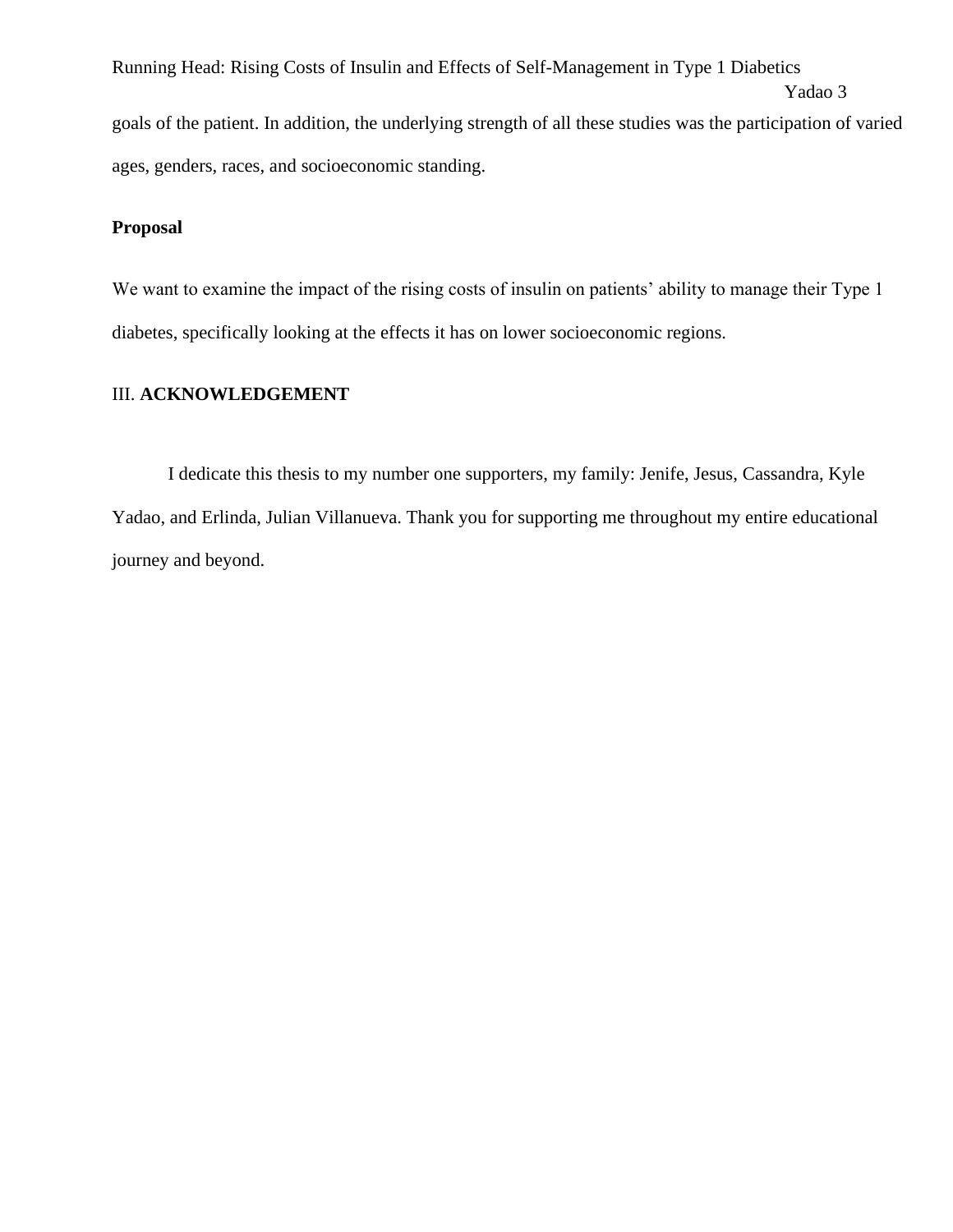Running Head: Rising Costs of Insulin and Effects of Self-Management in Type 1 Diabetics Yadao 3 goals of the patient. In addition, the underlying strength of all these studies was the participation of varied ages, genders, races, and socioeconomic standing.

### **Proposal**

We want to examine the impact of the rising costs of insulin on patients' ability to manage their Type 1 diabetes, specifically looking at the effects it has on lower socioeconomic regions.

## III. **ACKNOWLEDGEMENT**

I dedicate this thesis to my number one supporters, my family: Jenife, Jesus, Cassandra, Kyle Yadao, and Erlinda, Julian Villanueva. Thank you for supporting me throughout my entire educational journey and beyond.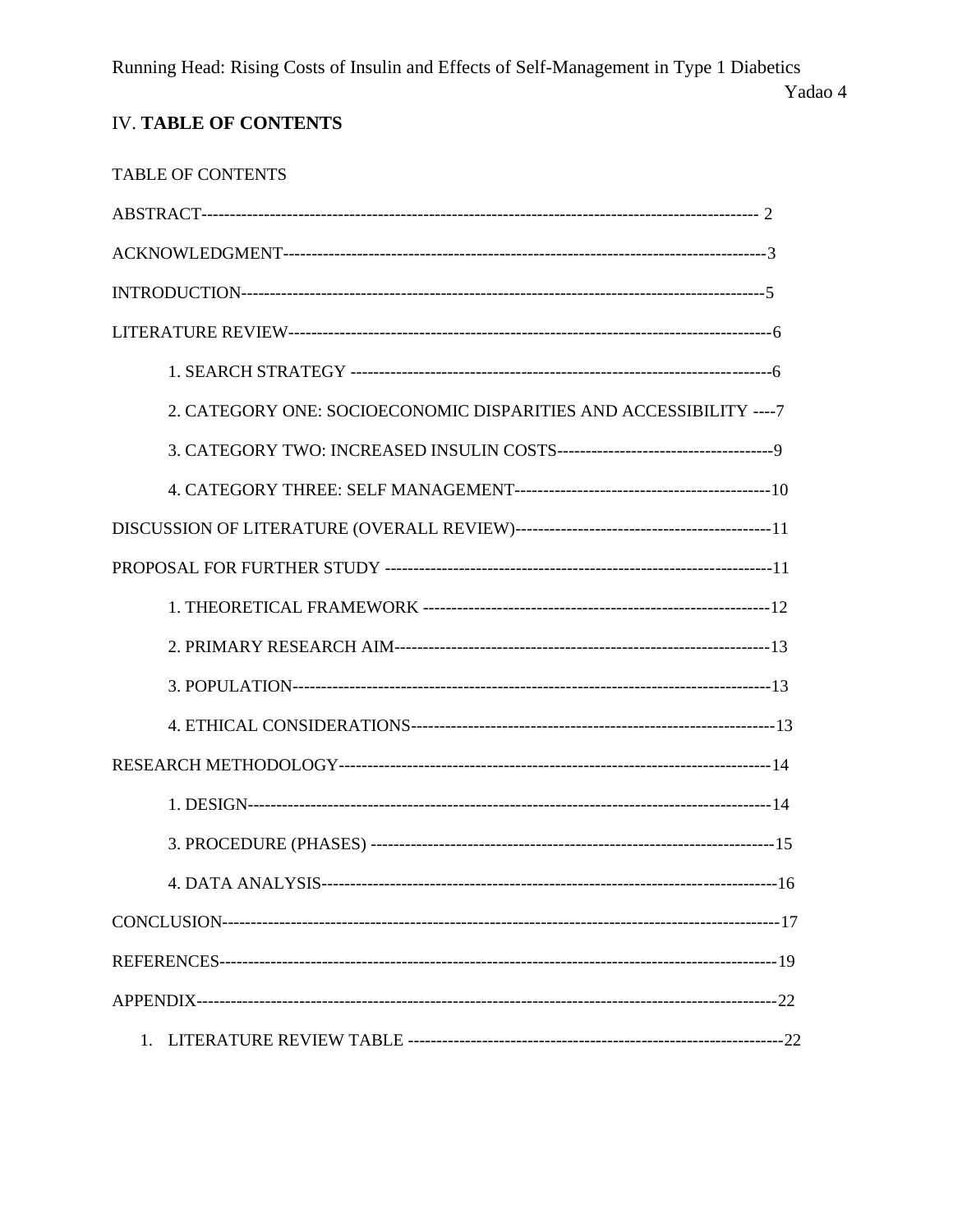Yadao 4

## **IV. TABLE OF CONTENTS**

| <b>TABLE OF CONTENTS</b>                                            |
|---------------------------------------------------------------------|
|                                                                     |
|                                                                     |
|                                                                     |
|                                                                     |
|                                                                     |
| 2. CATEGORY ONE: SOCIOECONOMIC DISPARITIES AND ACCESSIBILITY ---- 7 |
|                                                                     |
|                                                                     |
|                                                                     |
|                                                                     |
|                                                                     |
|                                                                     |
|                                                                     |
|                                                                     |
|                                                                     |
|                                                                     |
|                                                                     |
|                                                                     |
|                                                                     |
|                                                                     |
|                                                                     |
| 1.                                                                  |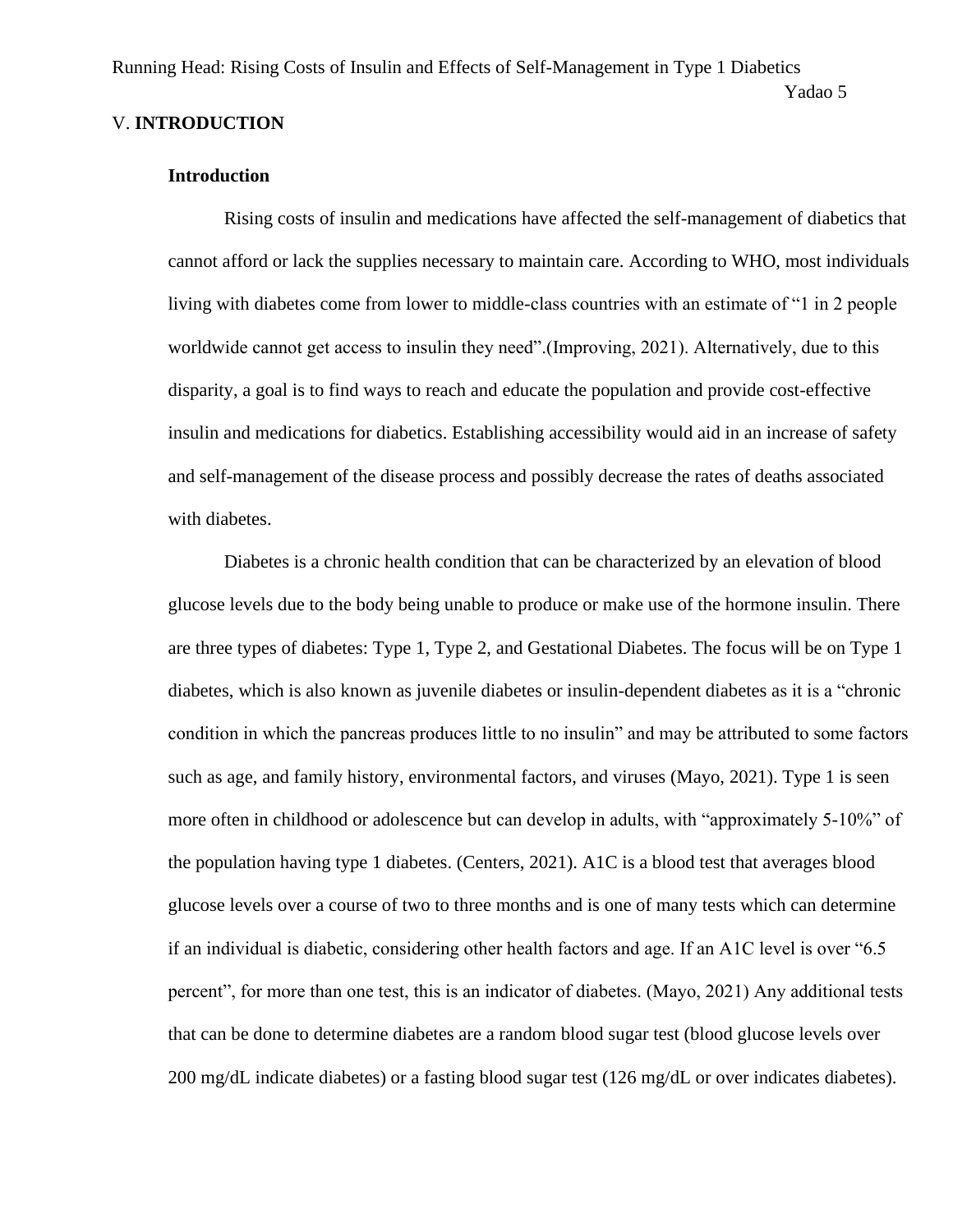### V. **INTRODUCTION**

#### **Introduction**

Rising costs of insulin and medications have affected the self-management of diabetics that cannot afford or lack the supplies necessary to maintain care. According to WHO, most individuals living with diabetes come from lower to middle-class countries with an estimate of "1 in 2 people worldwide cannot get access to insulin they need".(Improving, 2021). Alternatively, due to this disparity, a goal is to find ways to reach and educate the population and provide cost-effective insulin and medications for diabetics. Establishing accessibility would aid in an increase of safety and self-management of the disease process and possibly decrease the rates of deaths associated with diabetes.

Diabetes is a chronic health condition that can be characterized by an elevation of blood glucose levels due to the body being unable to produce or make use of the hormone insulin. There are three types of diabetes: Type 1, Type 2, and Gestational Diabetes. The focus will be on Type 1 diabetes, which is also known as juvenile diabetes or insulin-dependent diabetes as it is a "chronic condition in which the pancreas produces little to no insulin" and may be attributed to some factors such as age, and family history, environmental factors, and viruses (Mayo, 2021). Type 1 is seen more often in childhood or adolescence but can develop in adults, with "approximately 5-10%" of the population having type 1 diabetes. (Centers, 2021). A1C is a blood test that averages blood glucose levels over a course of two to three months and is one of many tests which can determine if an individual is diabetic, considering other health factors and age. If an A1C level is over "6.5 percent", for more than one test, this is an indicator of diabetes. (Mayo, 2021) Any additional tests that can be done to determine diabetes are a random blood sugar test (blood glucose levels over 200 mg/dL indicate diabetes) or a fasting blood sugar test (126 mg/dL or over indicates diabetes).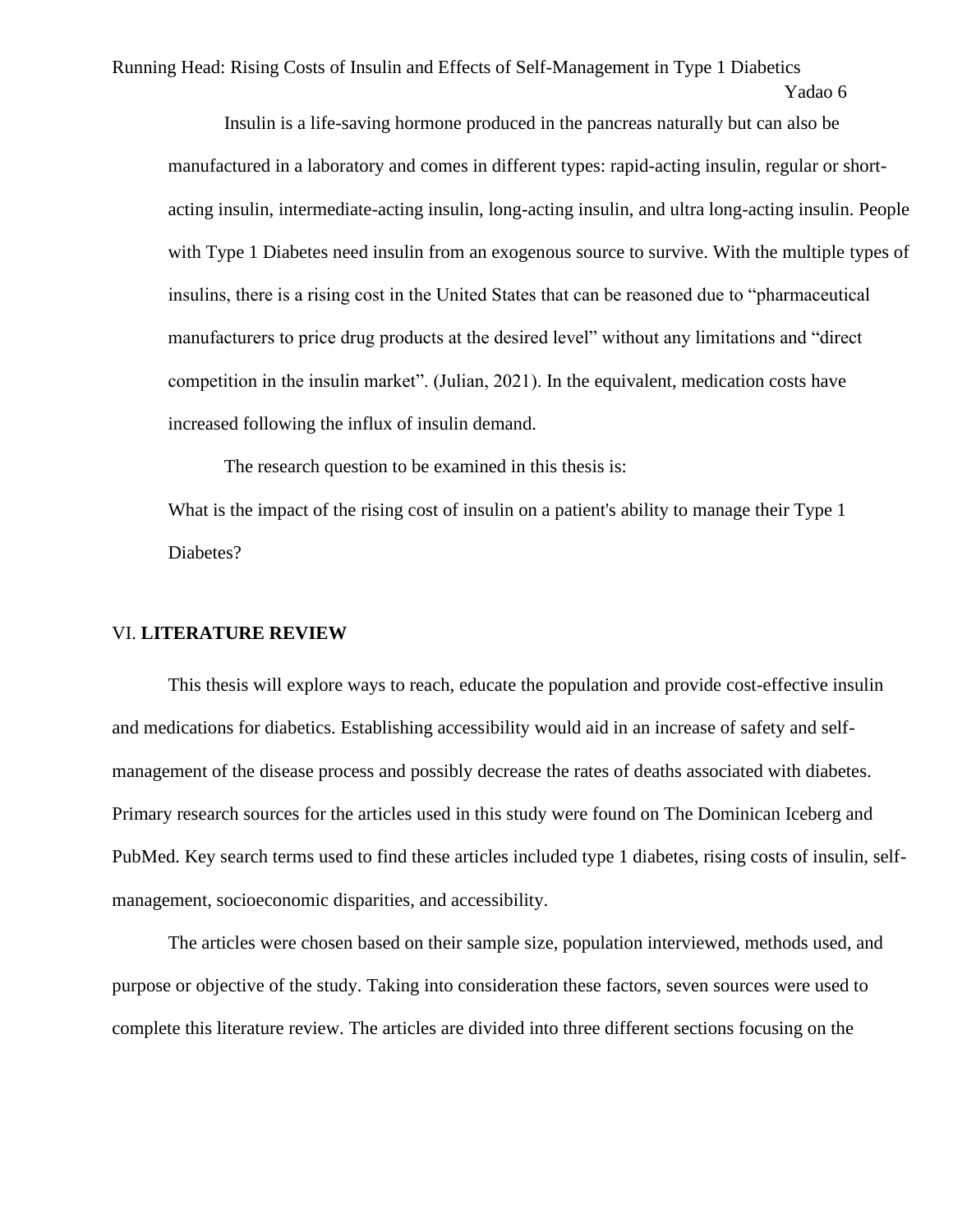Insulin is a life-saving hormone produced in the pancreas naturally but can also be manufactured in a laboratory and comes in different types: rapid-acting insulin, regular or shortacting insulin, intermediate-acting insulin, long-acting insulin, and ultra long-acting insulin. People with Type 1 Diabetes need insulin from an exogenous source to survive. With the multiple types of insulins, there is a rising cost in the United States that can be reasoned due to "pharmaceutical manufacturers to price drug products at the desired level" without any limitations and "direct competition in the insulin market". (Julian, 2021). In the equivalent, medication costs have increased following the influx of insulin demand.

The research question to be examined in this thesis is: What is the impact of the rising cost of insulin on a patient's ability to manage their Type 1 Diabetes?

#### VI. **LITERATURE REVIEW**

This thesis will explore ways to reach, educate the population and provide cost-effective insulin and medications for diabetics. Establishing accessibility would aid in an increase of safety and selfmanagement of the disease process and possibly decrease the rates of deaths associated with diabetes. Primary research sources for the articles used in this study were found on The Dominican Iceberg and PubMed. Key search terms used to find these articles included type 1 diabetes, rising costs of insulin, selfmanagement, socioeconomic disparities, and accessibility.

The articles were chosen based on their sample size, population interviewed, methods used, and purpose or objective of the study. Taking into consideration these factors, seven sources were used to complete this literature review. The articles are divided into three different sections focusing on the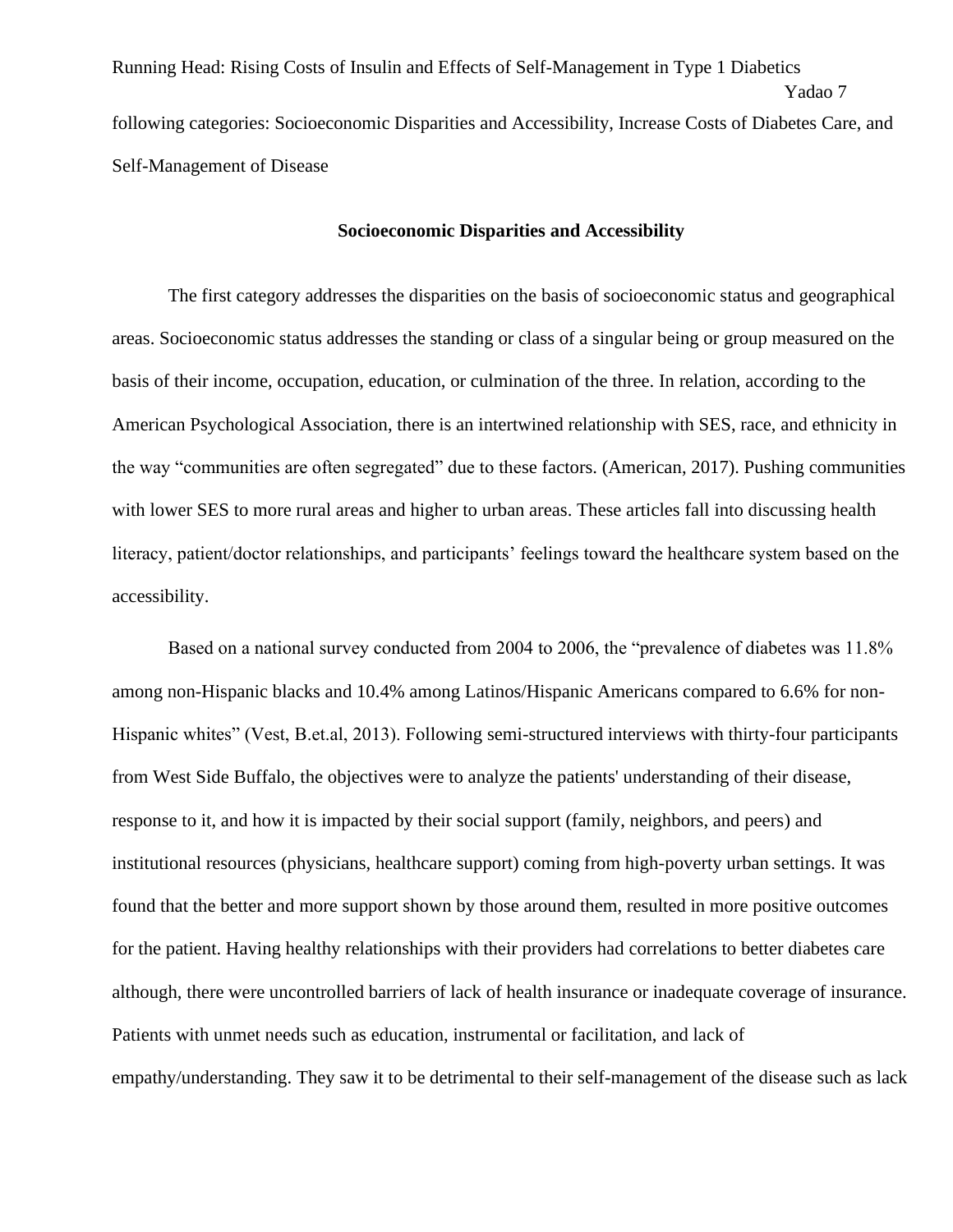Running Head: Rising Costs of Insulin and Effects of Self-Management in Type 1 Diabetics Yadao 7 following categories: Socioeconomic Disparities and Accessibility, Increase Costs of Diabetes Care, and Self-Management of Disease

#### **Socioeconomic Disparities and Accessibility**

The first category addresses the disparities on the basis of socioeconomic status and geographical areas. Socioeconomic status addresses the standing or class of a singular being or group measured on the basis of their income, occupation, education, or culmination of the three. In relation, according to the American Psychological Association, there is an intertwined relationship with SES, race, and ethnicity in the way "communities are often segregated" due to these factors. (American, 2017). Pushing communities with lower SES to more rural areas and higher to urban areas. These articles fall into discussing health literacy, patient/doctor relationships, and participants' feelings toward the healthcare system based on the accessibility.

Based on a national survey conducted from 2004 to 2006, the "prevalence of diabetes was 11.8% among non-Hispanic blacks and 10.4% among Latinos/Hispanic Americans compared to 6.6% for non-Hispanic whites" (Vest, B.et.al, 2013). Following semi-structured interviews with thirty-four participants from West Side Buffalo, the objectives were to analyze the patients' understanding of their disease, response to it, and how it is impacted by their social support (family, neighbors, and peers) and institutional resources (physicians, healthcare support) coming from high-poverty urban settings. It was found that the better and more support shown by those around them, resulted in more positive outcomes for the patient. Having healthy relationships with their providers had correlations to better diabetes care although, there were uncontrolled barriers of lack of health insurance or inadequate coverage of insurance. Patients with unmet needs such as education, instrumental or facilitation, and lack of empathy/understanding. They saw it to be detrimental to their self-management of the disease such as lack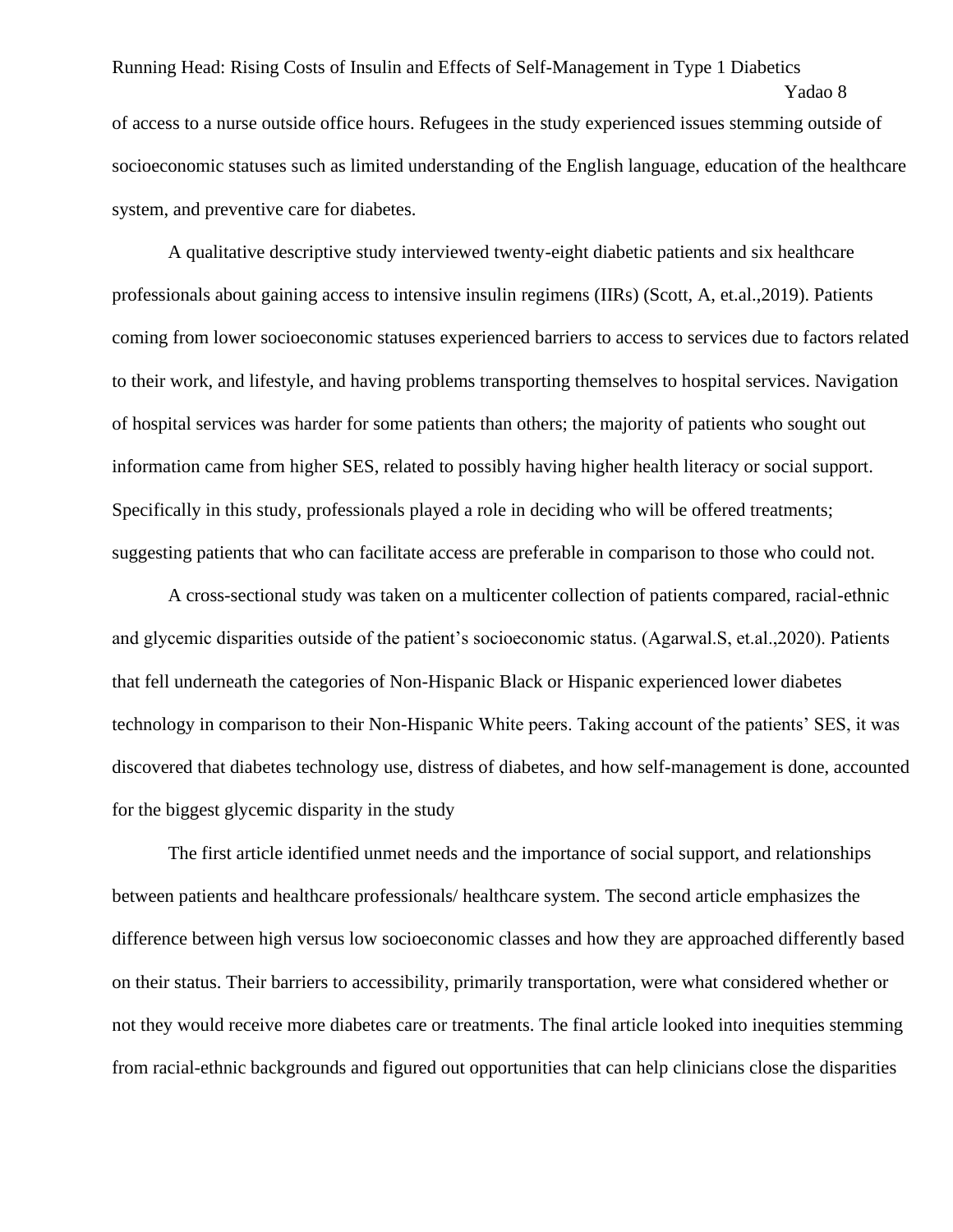Running Head: Rising Costs of Insulin and Effects of Self-Management in Type 1 Diabetics Yadao 8 of access to a nurse outside office hours. Refugees in the study experienced issues stemming outside of socioeconomic statuses such as limited understanding of the English language, education of the healthcare system, and preventive care for diabetes.

A qualitative descriptive study interviewed twenty-eight diabetic patients and six healthcare professionals about gaining access to intensive insulin regimens (IIRs) (Scott, A, et.al.,2019). Patients coming from lower socioeconomic statuses experienced barriers to access to services due to factors related to their work, and lifestyle, and having problems transporting themselves to hospital services. Navigation of hospital services was harder for some patients than others; the majority of patients who sought out information came from higher SES, related to possibly having higher health literacy or social support. Specifically in this study, professionals played a role in deciding who will be offered treatments; suggesting patients that who can facilitate access are preferable in comparison to those who could not.

A cross-sectional study was taken on a multicenter collection of patients compared, racial-ethnic and glycemic disparities outside of the patient's socioeconomic status. (Agarwal.S, et.al.,2020). Patients that fell underneath the categories of Non-Hispanic Black or Hispanic experienced lower diabetes technology in comparison to their Non-Hispanic White peers. Taking account of the patients' SES, it was discovered that diabetes technology use, distress of diabetes, and how self-management is done, accounted for the biggest glycemic disparity in the study

The first article identified unmet needs and the importance of social support, and relationships between patients and healthcare professionals/ healthcare system. The second article emphasizes the difference between high versus low socioeconomic classes and how they are approached differently based on their status. Their barriers to accessibility, primarily transportation, were what considered whether or not they would receive more diabetes care or treatments. The final article looked into inequities stemming from racial-ethnic backgrounds and figured out opportunities that can help clinicians close the disparities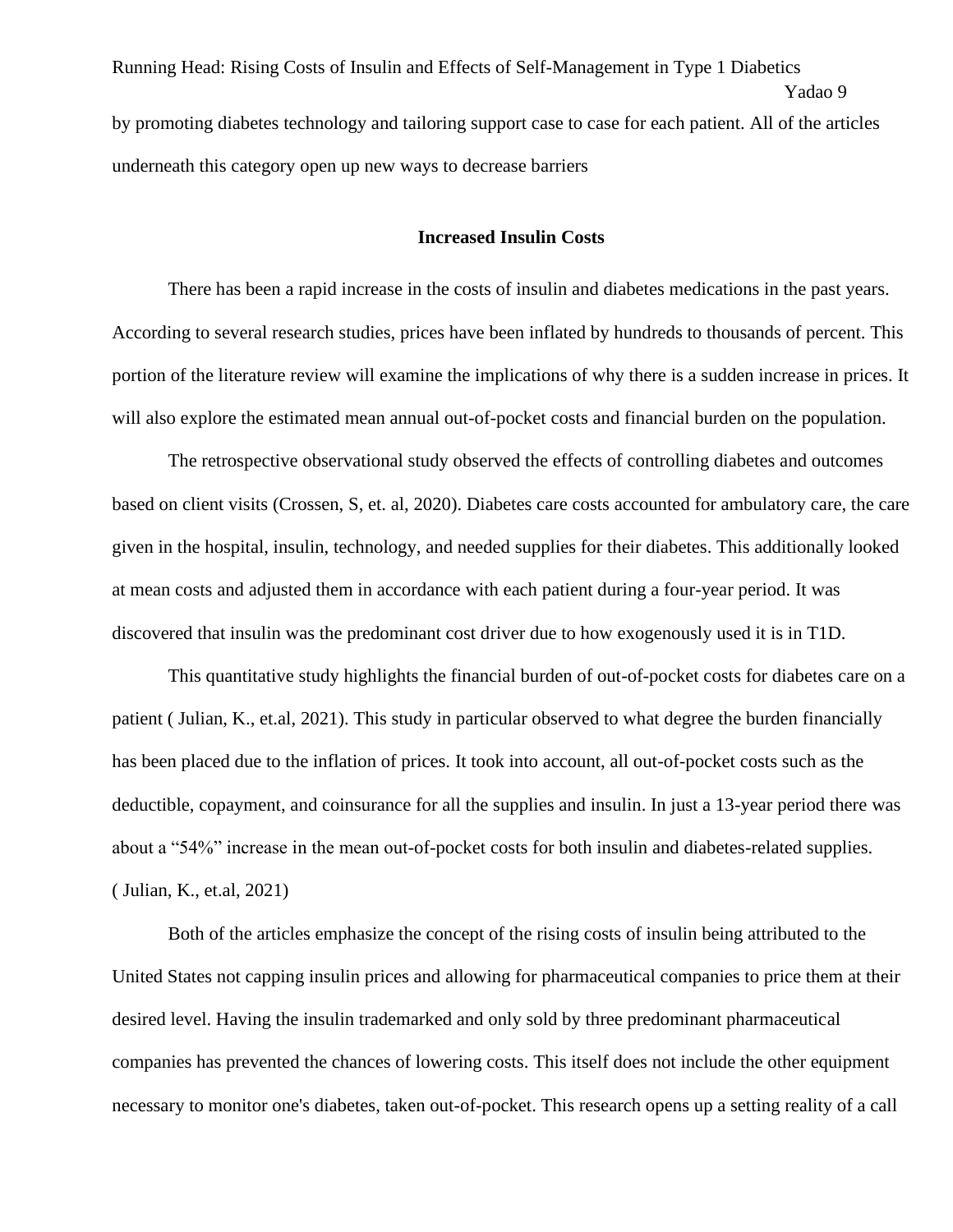Running Head: Rising Costs of Insulin and Effects of Self-Management in Type 1 Diabetics Yadao 9 by promoting diabetes technology and tailoring support case to case for each patient. All of the articles underneath this category open up new ways to decrease barriers

#### **Increased Insulin Costs**

There has been a rapid increase in the costs of insulin and diabetes medications in the past years. According to several research studies, prices have been inflated by hundreds to thousands of percent. This portion of the literature review will examine the implications of why there is a sudden increase in prices. It will also explore the estimated mean annual out-of-pocket costs and financial burden on the population.

The retrospective observational study observed the effects of controlling diabetes and outcomes based on client visits (Crossen, S, et. al, 2020). Diabetes care costs accounted for ambulatory care, the care given in the hospital, insulin, technology, and needed supplies for their diabetes. This additionally looked at mean costs and adjusted them in accordance with each patient during a four-year period. It was discovered that insulin was the predominant cost driver due to how exogenously used it is in T1D.

This quantitative study highlights the financial burden of out-of-pocket costs for diabetes care on a patient ( Julian, K., et.al, 2021). This study in particular observed to what degree the burden financially has been placed due to the inflation of prices. It took into account, all out-of-pocket costs such as the deductible, copayment, and coinsurance for all the supplies and insulin. In just a 13-year period there was about a "54%" increase in the mean out-of-pocket costs for both insulin and diabetes-related supplies. ( Julian, K., et.al, 2021)

Both of the articles emphasize the concept of the rising costs of insulin being attributed to the United States not capping insulin prices and allowing for pharmaceutical companies to price them at their desired level. Having the insulin trademarked and only sold by three predominant pharmaceutical companies has prevented the chances of lowering costs. This itself does not include the other equipment necessary to monitor one's diabetes, taken out-of-pocket. This research opens up a setting reality of a call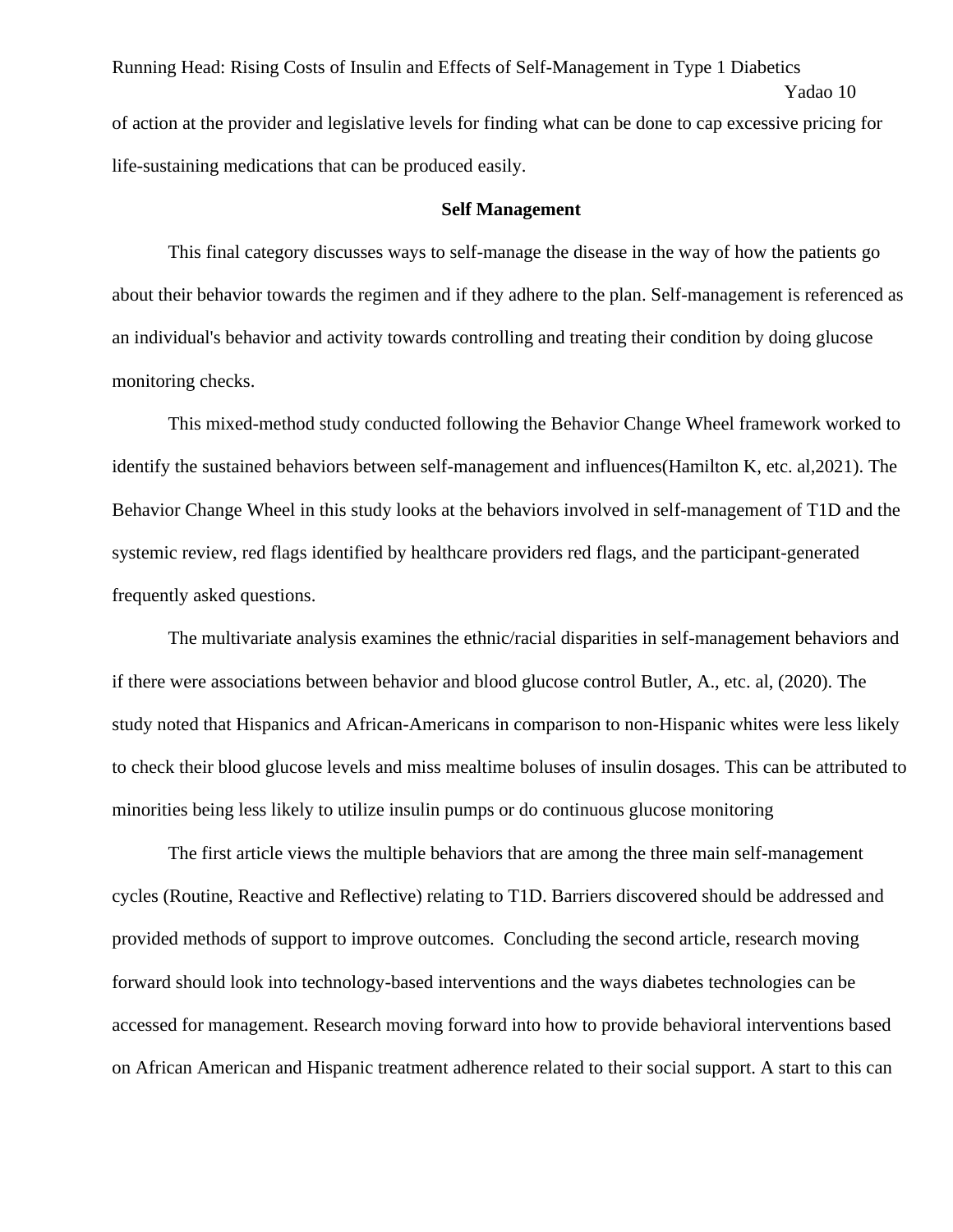Running Head: Rising Costs of Insulin and Effects of Self-Management in Type 1 Diabetics Yadao 10 of action at the provider and legislative levels for finding what can be done to cap excessive pricing for life-sustaining medications that can be produced easily.

#### **Self Management**

This final category discusses ways to self-manage the disease in the way of how the patients go about their behavior towards the regimen and if they adhere to the plan. Self-management is referenced as an individual's behavior and activity towards controlling and treating their condition by doing glucose monitoring checks.

This mixed-method study conducted following the Behavior Change Wheel framework worked to identify the sustained behaviors between self-management and influences(Hamilton K, etc. al,2021). The Behavior Change Wheel in this study looks at the behaviors involved in self-management of T1D and the systemic review, red flags identified by healthcare providers red flags, and the participant-generated frequently asked questions.

The multivariate analysis examines the ethnic/racial disparities in self-management behaviors and if there were associations between behavior and blood glucose control Butler, A., etc. al, (2020). The study noted that Hispanics and African-Americans in comparison to non-Hispanic whites were less likely to check their blood glucose levels and miss mealtime boluses of insulin dosages. This can be attributed to minorities being less likely to utilize insulin pumps or do continuous glucose monitoring

The first article views the multiple behaviors that are among the three main self-management cycles (Routine, Reactive and Reflective) relating to T1D. Barriers discovered should be addressed and provided methods of support to improve outcomes. Concluding the second article, research moving forward should look into technology-based interventions and the ways diabetes technologies can be accessed for management. Research moving forward into how to provide behavioral interventions based on African American and Hispanic treatment adherence related to their social support. A start to this can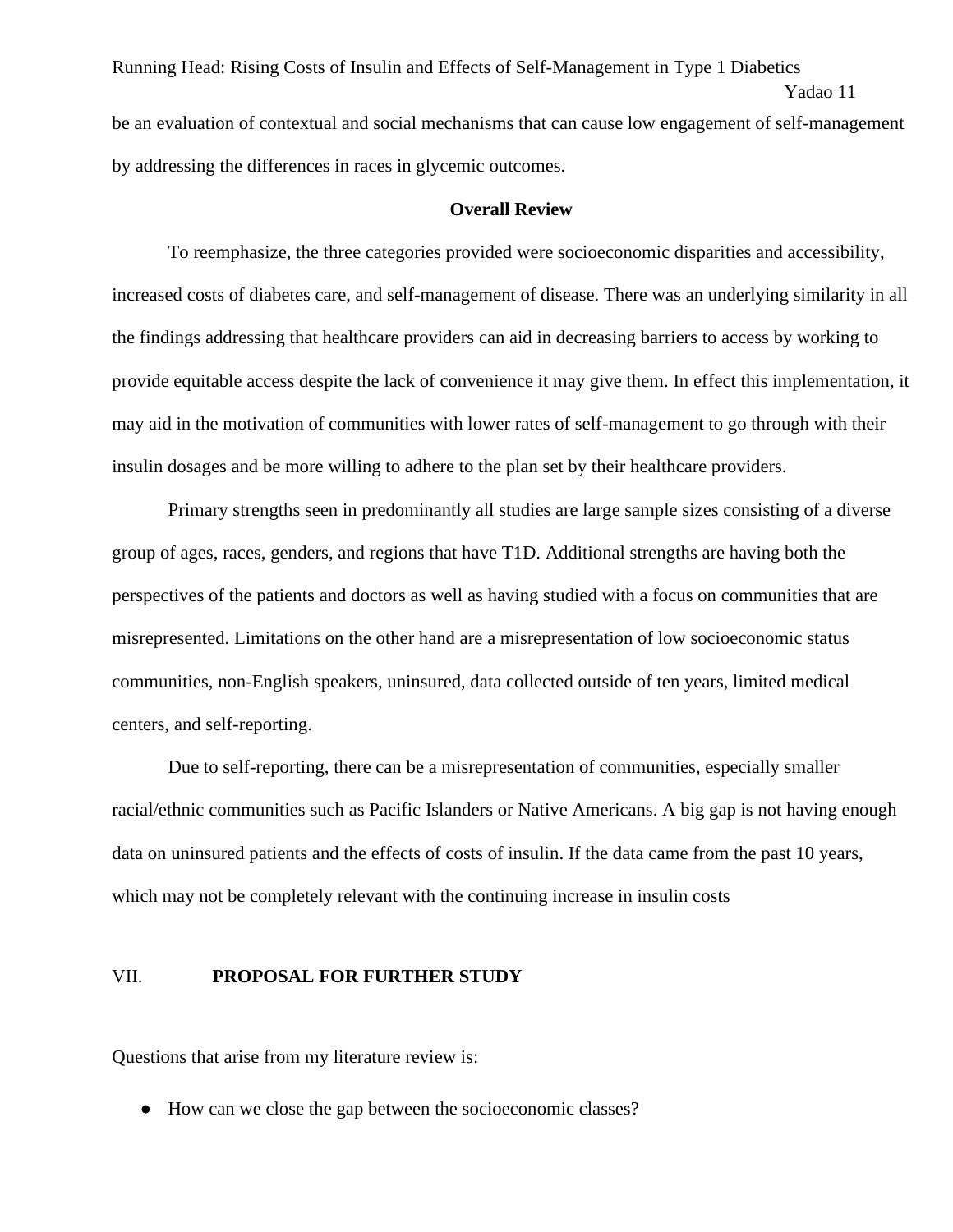Running Head: Rising Costs of Insulin and Effects of Self-Management in Type 1 Diabetics Yadao 11 be an evaluation of contextual and social mechanisms that can cause low engagement of self-management by addressing the differences in races in glycemic outcomes.

#### **Overall Review**

To reemphasize, the three categories provided were socioeconomic disparities and accessibility, increased costs of diabetes care, and self-management of disease. There was an underlying similarity in all the findings addressing that healthcare providers can aid in decreasing barriers to access by working to provide equitable access despite the lack of convenience it may give them. In effect this implementation, it may aid in the motivation of communities with lower rates of self-management to go through with their insulin dosages and be more willing to adhere to the plan set by their healthcare providers.

Primary strengths seen in predominantly all studies are large sample sizes consisting of a diverse group of ages, races, genders, and regions that have T1D. Additional strengths are having both the perspectives of the patients and doctors as well as having studied with a focus on communities that are misrepresented. Limitations on the other hand are a misrepresentation of low socioeconomic status communities, non-English speakers, uninsured, data collected outside of ten years, limited medical centers, and self-reporting.

Due to self-reporting, there can be a misrepresentation of communities, especially smaller racial/ethnic communities such as Pacific Islanders or Native Americans. A big gap is not having enough data on uninsured patients and the effects of costs of insulin. If the data came from the past 10 years, which may not be completely relevant with the continuing increase in insulin costs

#### VII. **PROPOSAL FOR FURTHER STUDY**

Questions that arise from my literature review is:

● How can we close the gap between the socioeconomic classes?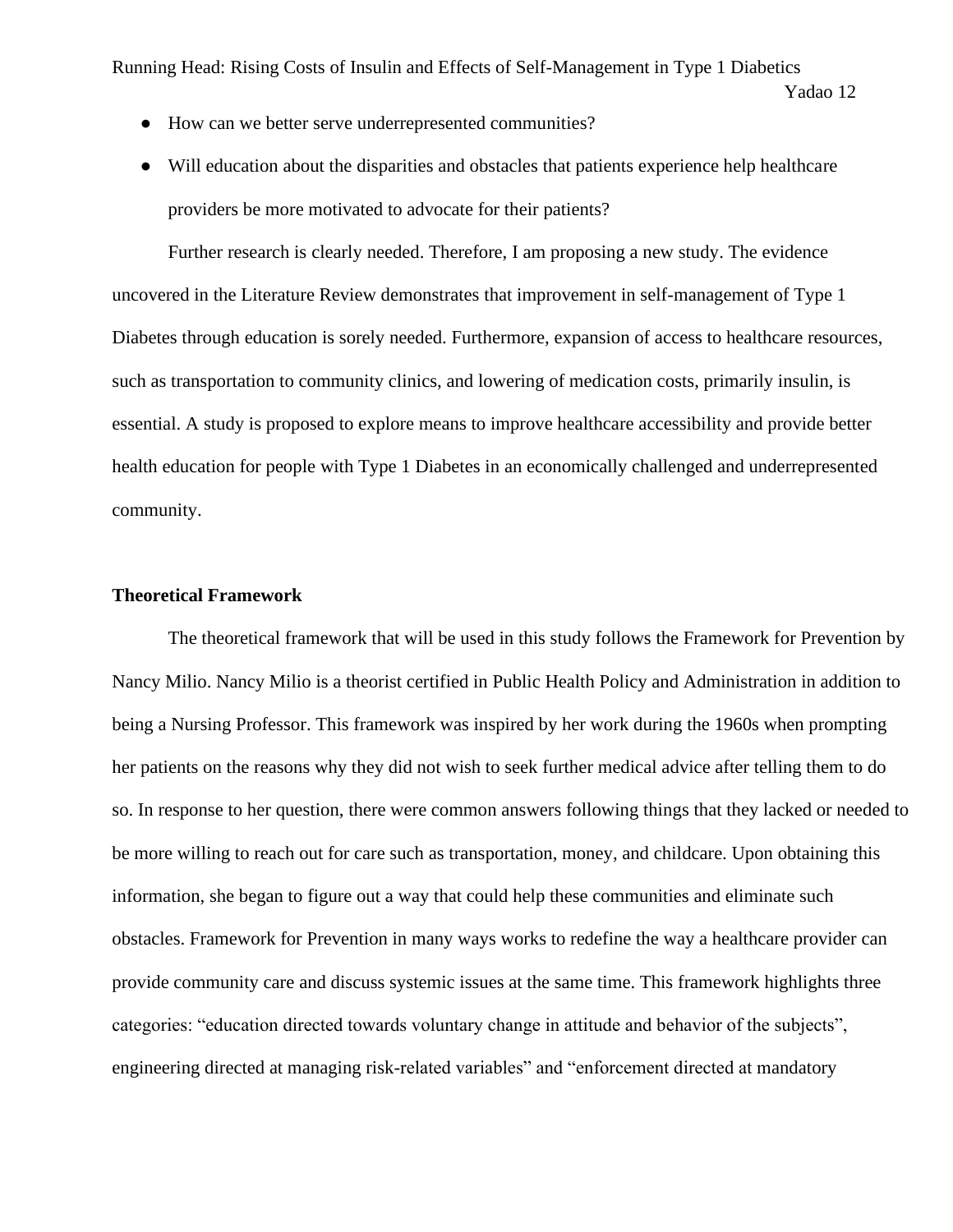- How can we better serve underrepresented communities?
- Will education about the disparities and obstacles that patients experience help healthcare providers be more motivated to advocate for their patients?

Further research is clearly needed. Therefore, I am proposing a new study. The evidence uncovered in the Literature Review demonstrates that improvement in self-management of Type 1 Diabetes through education is sorely needed. Furthermore, expansion of access to healthcare resources, such as transportation to community clinics, and lowering of medication costs, primarily insulin, is essential. A study is proposed to explore means to improve healthcare accessibility and provide better health education for people with Type 1 Diabetes in an economically challenged and underrepresented community.

#### **Theoretical Framework**

The theoretical framework that will be used in this study follows the Framework for Prevention by Nancy Milio. Nancy Milio is a theorist certified in Public Health Policy and Administration in addition to being a Nursing Professor. This framework was inspired by her work during the 1960s when prompting her patients on the reasons why they did not wish to seek further medical advice after telling them to do so. In response to her question, there were common answers following things that they lacked or needed to be more willing to reach out for care such as transportation, money, and childcare. Upon obtaining this information, she began to figure out a way that could help these communities and eliminate such obstacles. Framework for Prevention in many ways works to redefine the way a healthcare provider can provide community care and discuss systemic issues at the same time. This framework highlights three categories: "education directed towards voluntary change in attitude and behavior of the subjects", engineering directed at managing risk-related variables" and "enforcement directed at mandatory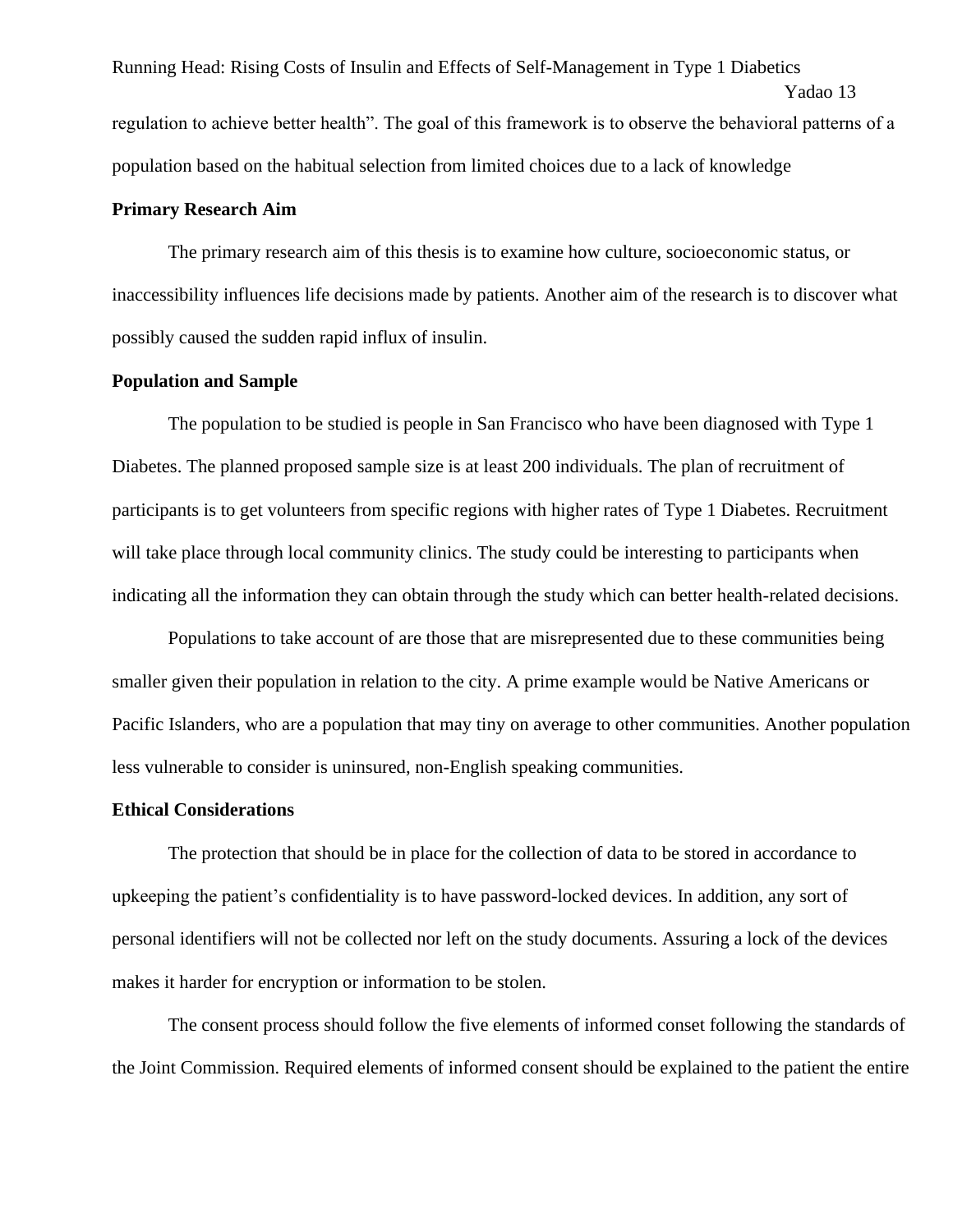Running Head: Rising Costs of Insulin and Effects of Self-Management in Type 1 Diabetics Yadao 13 regulation to achieve better health". The goal of this framework is to observe the behavioral patterns of a population based on the habitual selection from limited choices due to a lack of knowledge

#### **Primary Research Aim**

The primary research aim of this thesis is to examine how culture, socioeconomic status, or inaccessibility influences life decisions made by patients. Another aim of the research is to discover what possibly caused the sudden rapid influx of insulin.

#### **Population and Sample**

The population to be studied is people in San Francisco who have been diagnosed with Type 1 Diabetes. The planned proposed sample size is at least 200 individuals. The plan of recruitment of participants is to get volunteers from specific regions with higher rates of Type 1 Diabetes. Recruitment will take place through local community clinics. The study could be interesting to participants when indicating all the information they can obtain through the study which can better health-related decisions.

Populations to take account of are those that are misrepresented due to these communities being smaller given their population in relation to the city. A prime example would be Native Americans or Pacific Islanders, who are a population that may tiny on average to other communities. Another population less vulnerable to consider is uninsured, non-English speaking communities.

#### **Ethical Considerations**

The protection that should be in place for the collection of data to be stored in accordance to upkeeping the patient's confidentiality is to have password-locked devices. In addition, any sort of personal identifiers will not be collected nor left on the study documents. Assuring a lock of the devices makes it harder for encryption or information to be stolen.

The consent process should follow the five elements of informed conset following the standards of the Joint Commission. Required elements of informed consent should be explained to the patient the entire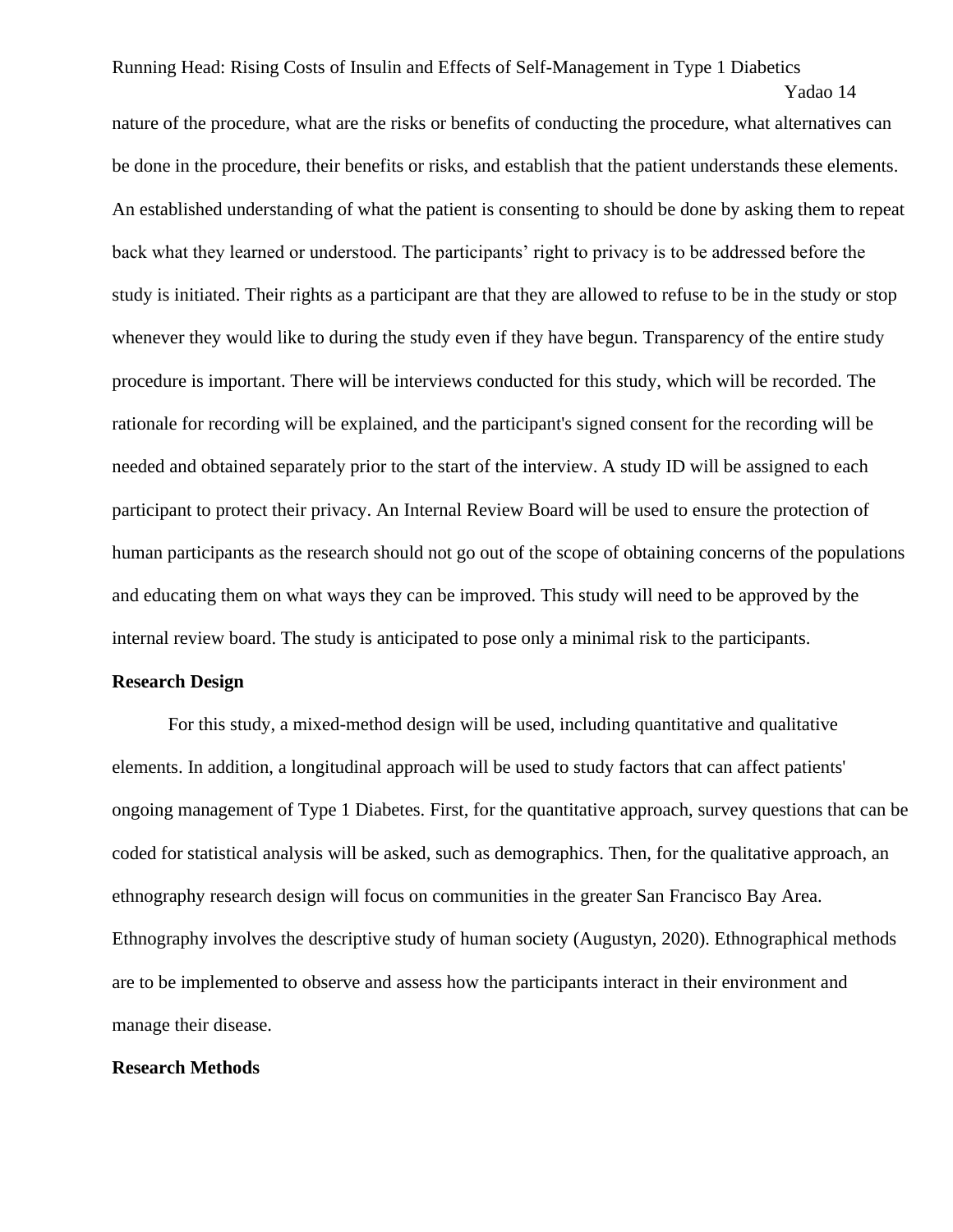Yadao 14

nature of the procedure, what are the risks or benefits of conducting the procedure, what alternatives can be done in the procedure, their benefits or risks, and establish that the patient understands these elements. An established understanding of what the patient is consenting to should be done by asking them to repeat back what they learned or understood. The participants' right to privacy is to be addressed before the study is initiated. Their rights as a participant are that they are allowed to refuse to be in the study or stop whenever they would like to during the study even if they have begun. Transparency of the entire study procedure is important. There will be interviews conducted for this study, which will be recorded. The rationale for recording will be explained, and the participant's signed consent for the recording will be needed and obtained separately prior to the start of the interview. A study ID will be assigned to each participant to protect their privacy. An Internal Review Board will be used to ensure the protection of human participants as the research should not go out of the scope of obtaining concerns of the populations and educating them on what ways they can be improved. This study will need to be approved by the internal review board. The study is anticipated to pose only a minimal risk to the participants.

#### **Research Design**

For this study, a mixed-method design will be used, including quantitative and qualitative elements. In addition, a longitudinal approach will be used to study factors that can affect patients' ongoing management of Type 1 Diabetes. First, for the quantitative approach, survey questions that can be coded for statistical analysis will be asked, such as demographics. Then, for the qualitative approach, an ethnography research design will focus on communities in the greater San Francisco Bay Area. Ethnography involves the descriptive study of human society (Augustyn, 2020). Ethnographical methods are to be implemented to observe and assess how the participants interact in their environment and manage their disease.

#### **Research Methods**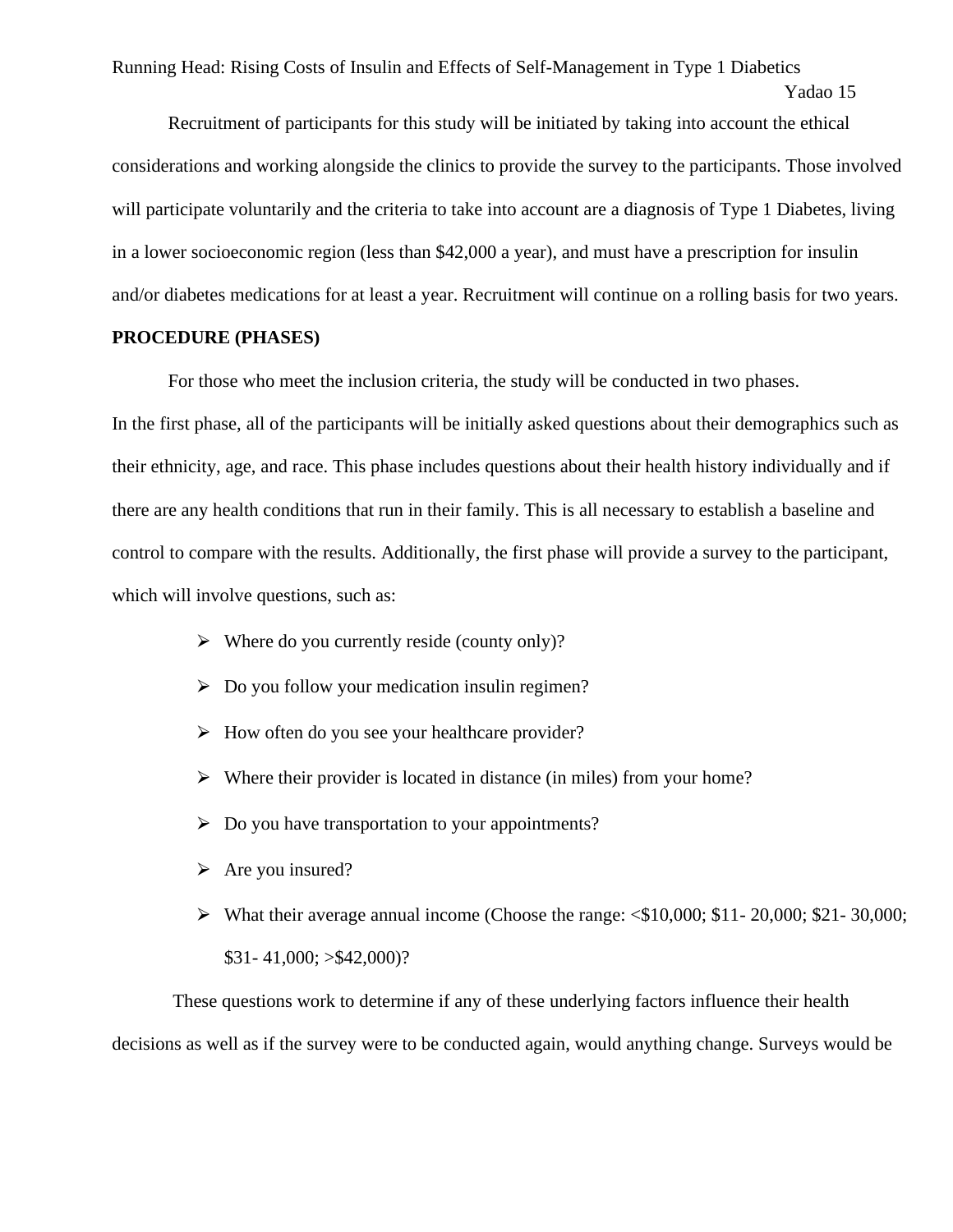```
Yadao 15
```
Recruitment of participants for this study will be initiated by taking into account the ethical considerations and working alongside the clinics to provide the survey to the participants. Those involved will participate voluntarily and the criteria to take into account are a diagnosis of Type 1 Diabetes, living in a lower socioeconomic region (less than \$42,000 a year), and must have a prescription for insulin and/or diabetes medications for at least a year. Recruitment will continue on a rolling basis for two years.

#### **PROCEDURE (PHASES)**

For those who meet the inclusion criteria, the study will be conducted in two phases.

In the first phase, all of the participants will be initially asked questions about their demographics such as their ethnicity, age, and race. This phase includes questions about their health history individually and if there are any health conditions that run in their family. This is all necessary to establish a baseline and control to compare with the results. Additionally, the first phase will provide a survey to the participant, which will involve questions, such as:

- $\triangleright$  Where do you currently reside (county only)?
- $\triangleright$  Do you follow your medication insulin regimen?
- $\triangleright$  How often do you see your healthcare provider?
- $\triangleright$  Where their provider is located in distance (in miles) from your home?
- $\triangleright$  Do you have transportation to your appointments?
- $\triangleright$  Are you insured?
- ⮚ What their average annual income (Choose the range: <\$10,000; \$11- 20,000; \$21- 30,000; \$31- 41,000; >\$42,000)?

These questions work to determine if any of these underlying factors influence their health decisions as well as if the survey were to be conducted again, would anything change. Surveys would be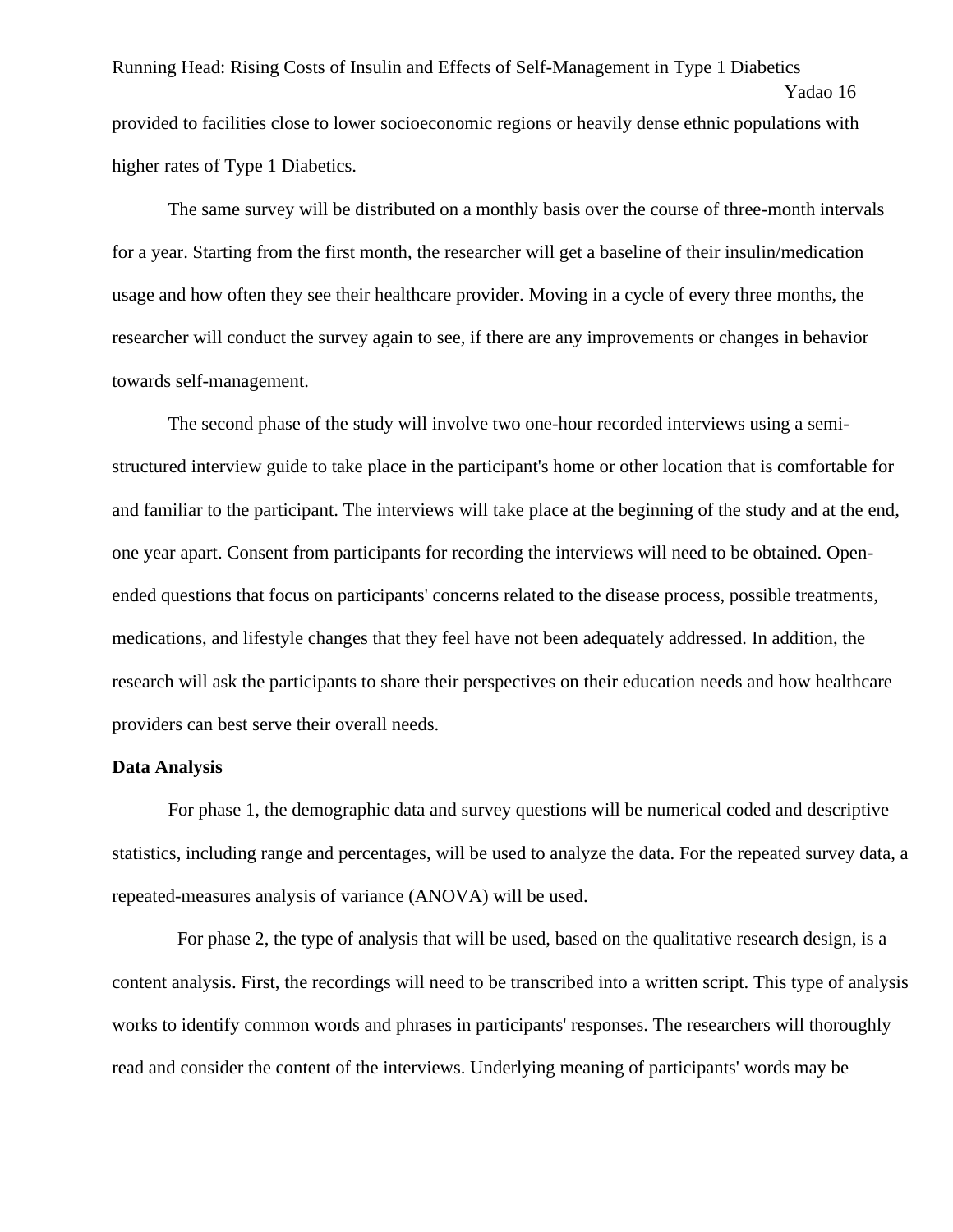Running Head: Rising Costs of Insulin and Effects of Self-Management in Type 1 Diabetics Yadao 16 provided to facilities close to lower socioeconomic regions or heavily dense ethnic populations with higher rates of Type 1 Diabetics.

The same survey will be distributed on a monthly basis over the course of three-month intervals for a year. Starting from the first month, the researcher will get a baseline of their insulin/medication usage and how often they see their healthcare provider. Moving in a cycle of every three months, the researcher will conduct the survey again to see, if there are any improvements or changes in behavior towards self-management.

The second phase of the study will involve two one-hour recorded interviews using a semistructured interview guide to take place in the participant's home or other location that is comfortable for and familiar to the participant. The interviews will take place at the beginning of the study and at the end, one year apart. Consent from participants for recording the interviews will need to be obtained. Openended questions that focus on participants' concerns related to the disease process, possible treatments, medications, and lifestyle changes that they feel have not been adequately addressed. In addition, the research will ask the participants to share their perspectives on their education needs and how healthcare providers can best serve their overall needs.

#### **Data Analysis**

For phase 1, the demographic data and survey questions will be numerical coded and descriptive statistics, including range and percentages, will be used to analyze the data. For the repeated survey data, a repeated-measures analysis of variance (ANOVA) will be used.

 For phase 2, the type of analysis that will be used, based on the qualitative research design, is a content analysis. First, the recordings will need to be transcribed into a written script. This type of analysis works to identify common words and phrases in participants' responses. The researchers will thoroughly read and consider the content of the interviews. Underlying meaning of participants' words may be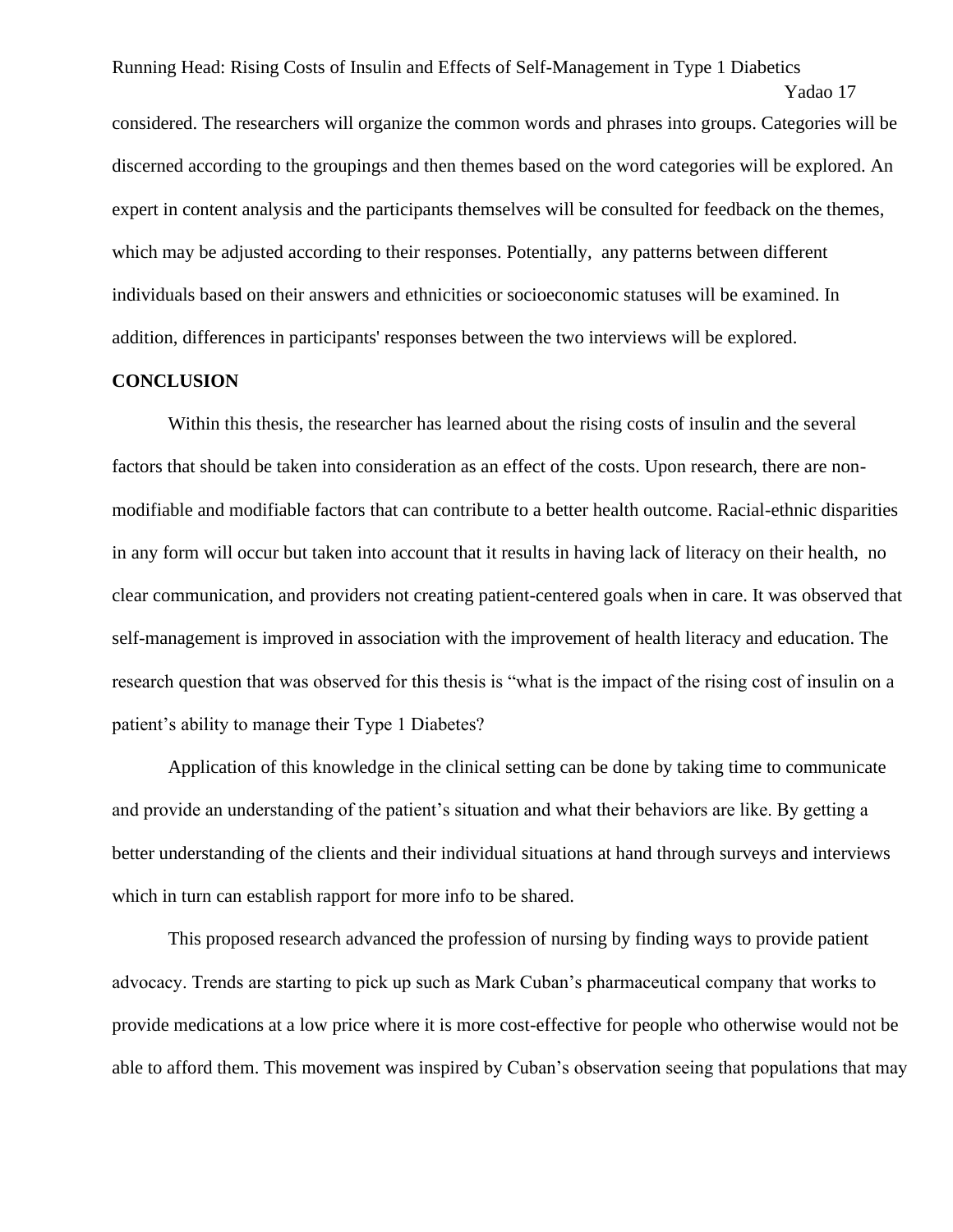Yadao 17 considered. The researchers will organize the common words and phrases into groups. Categories will be discerned according to the groupings and then themes based on the word categories will be explored. An expert in content analysis and the participants themselves will be consulted for feedback on the themes, which may be adjusted according to their responses. Potentially, any patterns between different individuals based on their answers and ethnicities or socioeconomic statuses will be examined. In addition, differences in participants' responses between the two interviews will be explored.

#### **CONCLUSION**

Within this thesis, the researcher has learned about the rising costs of insulin and the several factors that should be taken into consideration as an effect of the costs. Upon research, there are nonmodifiable and modifiable factors that can contribute to a better health outcome. Racial-ethnic disparities in any form will occur but taken into account that it results in having lack of literacy on their health, no clear communication, and providers not creating patient-centered goals when in care. It was observed that self-management is improved in association with the improvement of health literacy and education. The research question that was observed for this thesis is "what is the impact of the rising cost of insulin on a patient's ability to manage their Type 1 Diabetes?

Application of this knowledge in the clinical setting can be done by taking time to communicate and provide an understanding of the patient's situation and what their behaviors are like. By getting a better understanding of the clients and their individual situations at hand through surveys and interviews which in turn can establish rapport for more info to be shared.

This proposed research advanced the profession of nursing by finding ways to provide patient advocacy. Trends are starting to pick up such as Mark Cuban's pharmaceutical company that works to provide medications at a low price where it is more cost-effective for people who otherwise would not be able to afford them. This movement was inspired by Cuban's observation seeing that populations that may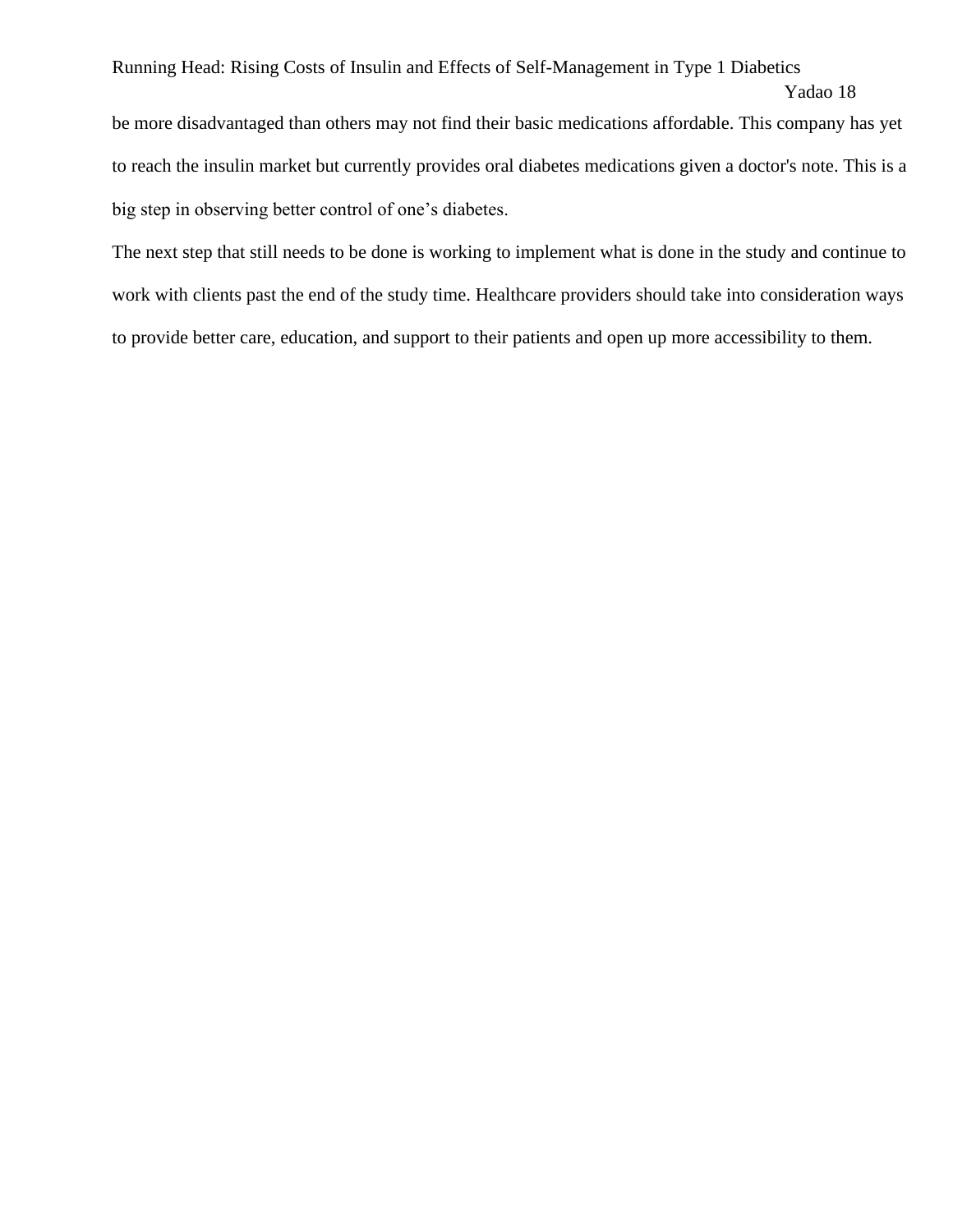be more disadvantaged than others may not find their basic medications affordable. This company has yet to reach the insulin market but currently provides oral diabetes medications given a doctor's note. This is a big step in observing better control of one's diabetes.

The next step that still needs to be done is working to implement what is done in the study and continue to work with clients past the end of the study time. Healthcare providers should take into consideration ways to provide better care, education, and support to their patients and open up more accessibility to them.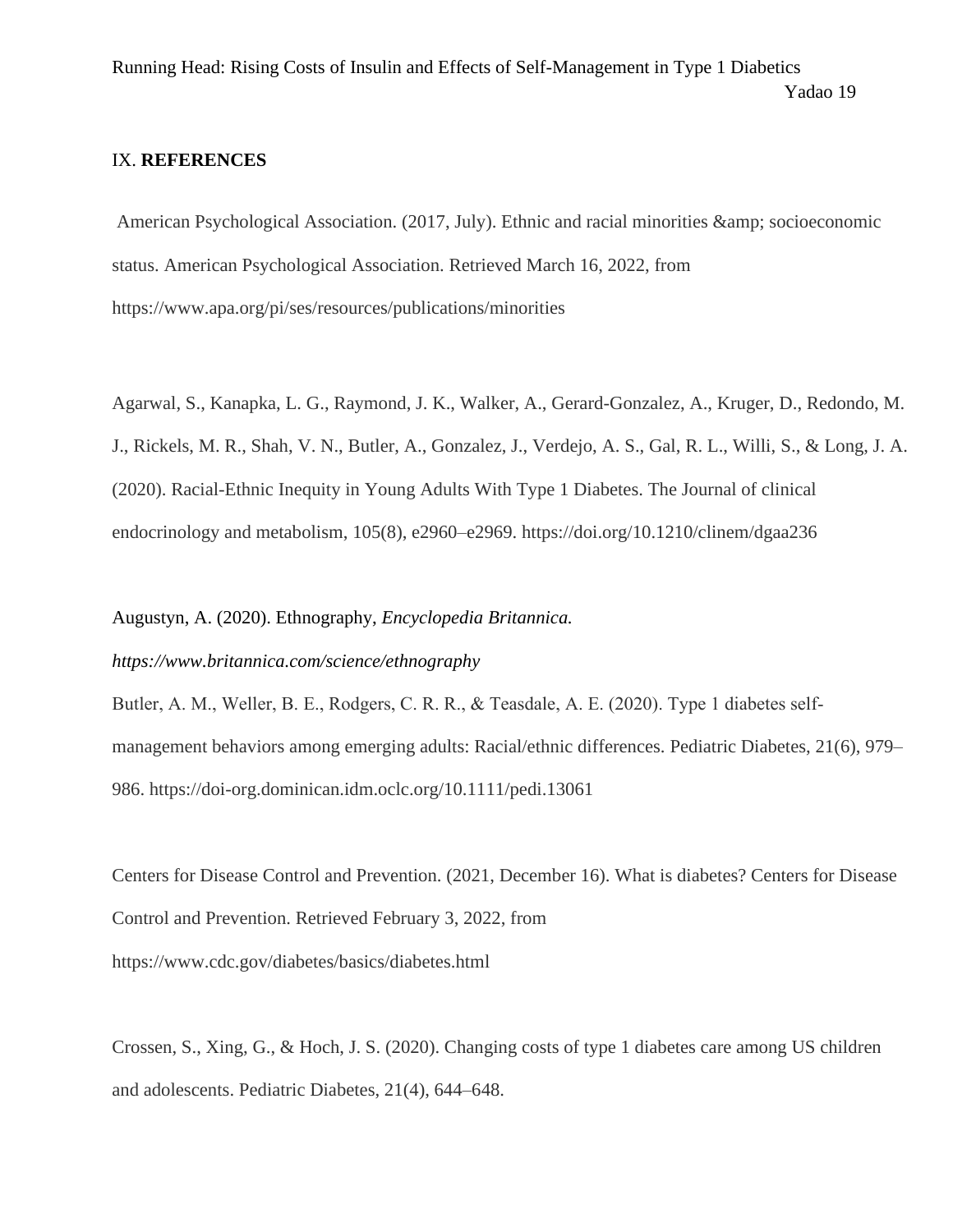### IX. **REFERENCES**

American Psychological Association. (2017, July). Ethnic and racial minorities & amp; socioeconomic status. American Psychological Association. Retrieved March 16, 2022, from https://www.apa.org/pi/ses/resources/publications/minorities

Agarwal, S., Kanapka, L. G., Raymond, J. K., Walker, A., Gerard-Gonzalez, A., Kruger, D., Redondo, M. J., Rickels, M. R., Shah, V. N., Butler, A., Gonzalez, J., Verdejo, A. S., Gal, R. L., Willi, S., & Long, J. A. (2020). Racial-Ethnic Inequity in Young Adults With Type 1 Diabetes. The Journal of clinical endocrinology and metabolism, 105(8), e2960–e2969. https://doi.org/10.1210/clinem/dgaa236

Augustyn, A. (2020). Ethnography, *Encyclopedia Britannica.* 

*https://www.britannica.com/science/ethnography*

Butler, A. M., Weller, B. E., Rodgers, C. R. R., & Teasdale, A. E. (2020). Type 1 diabetes self‐ management behaviors among emerging adults: Racial/ethnic differences. Pediatric Diabetes, 21(6), 979– 986. https://doi-org.dominican.idm.oclc.org/10.1111/pedi.13061

Centers for Disease Control and Prevention. (2021, December 16). What is diabetes? Centers for Disease Control and Prevention. Retrieved February 3, 2022, from https://www.cdc.gov/diabetes/basics/diabetes.html

Crossen, S., Xing, G., & Hoch, J. S. (2020). Changing costs of type 1 diabetes care among US children and adolescents. Pediatric Diabetes, 21(4), 644–648.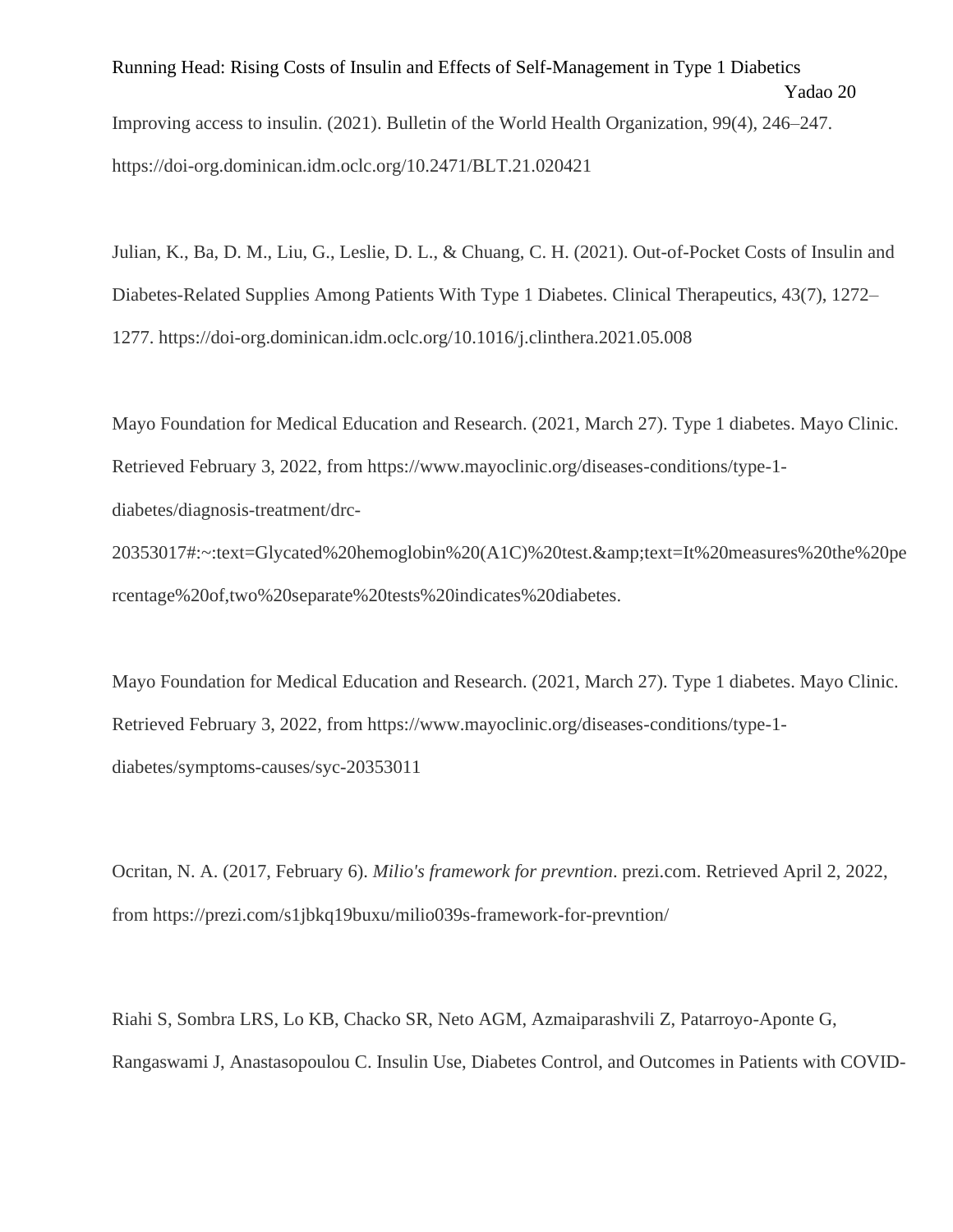Running Head: Rising Costs of Insulin and Effects of Self-Management in Type 1 Diabetics Yadao 20 Improving access to insulin. (2021). Bulletin of the World Health Organization, 99(4), 246–247. https://doi-org.dominican.idm.oclc.org/10.2471/BLT.21.020421

Julian, K., Ba, D. M., Liu, G., Leslie, D. L., & Chuang, C. H. (2021). Out-of-Pocket Costs of Insulin and Diabetes-Related Supplies Among Patients With Type 1 Diabetes. Clinical Therapeutics, 43(7), 1272– 1277. https://doi-org.dominican.idm.oclc.org/10.1016/j.clinthera.2021.05.008

Mayo Foundation for Medical Education and Research. (2021, March 27). Type 1 diabetes. Mayo Clinic. Retrieved February 3, 2022, from https://www.mayoclinic.org/diseases-conditions/type-1 diabetes/diagnosis-treatment/drc-

20353017#:~:text=Glycated%20hemoglobin%20(A1C)%20test.&text=It%20measures%20the%20pe rcentage%20of,two%20separate%20tests%20indicates%20diabetes.

Mayo Foundation for Medical Education and Research. (2021, March 27). Type 1 diabetes. Mayo Clinic. Retrieved February 3, 2022, from https://www.mayoclinic.org/diseases-conditions/type-1 diabetes/symptoms-causes/syc-20353011

Ocritan, N. A. (2017, February 6). *Milio's framework for prevntion*. prezi.com. Retrieved April 2, 2022, from https://prezi.com/s1jbkq19buxu/milio039s-framework-for-prevntion/

Riahi S, Sombra LRS, Lo KB, Chacko SR, Neto AGM, Azmaiparashvili Z, Patarroyo-Aponte G, Rangaswami J, Anastasopoulou C. Insulin Use, Diabetes Control, and Outcomes in Patients with COVID-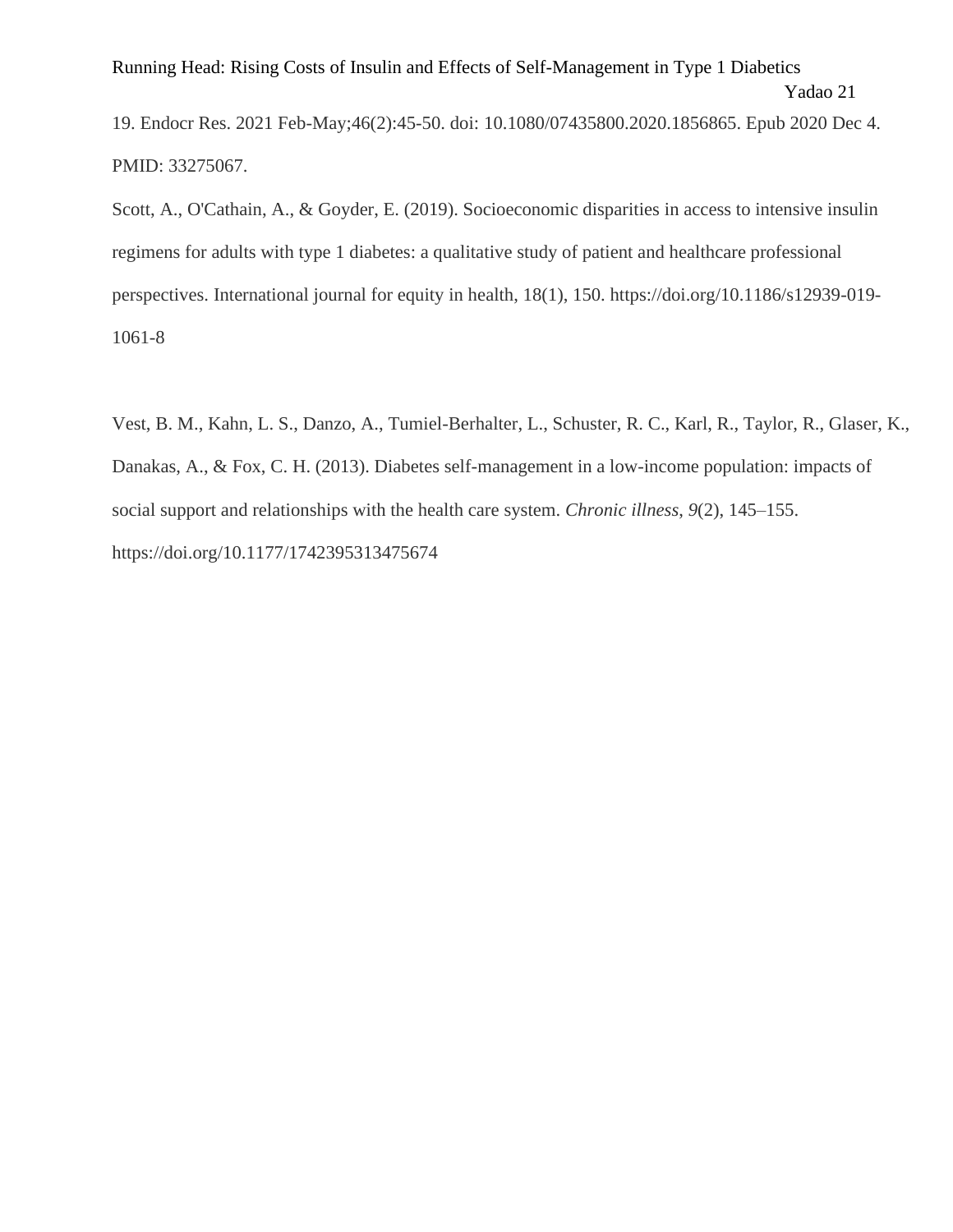```
Yadao 21
```
19. Endocr Res. 2021 Feb-May;46(2):45-50. doi: 10.1080/07435800.2020.1856865. Epub 2020 Dec 4. PMID: 33275067.

Scott, A., O'Cathain, A., & Goyder, E. (2019). Socioeconomic disparities in access to intensive insulin regimens for adults with type 1 diabetes: a qualitative study of patient and healthcare professional perspectives. International journal for equity in health, 18(1), 150. https://doi.org/10.1186/s12939-019- 1061-8

Vest, B. M., Kahn, L. S., Danzo, A., Tumiel-Berhalter, L., Schuster, R. C., Karl, R., Taylor, R., Glaser, K., Danakas, A., & Fox, C. H. (2013). Diabetes self-management in a low-income population: impacts of social support and relationships with the health care system. *Chronic illness*, *9*(2), 145–155. https://doi.org/10.1177/1742395313475674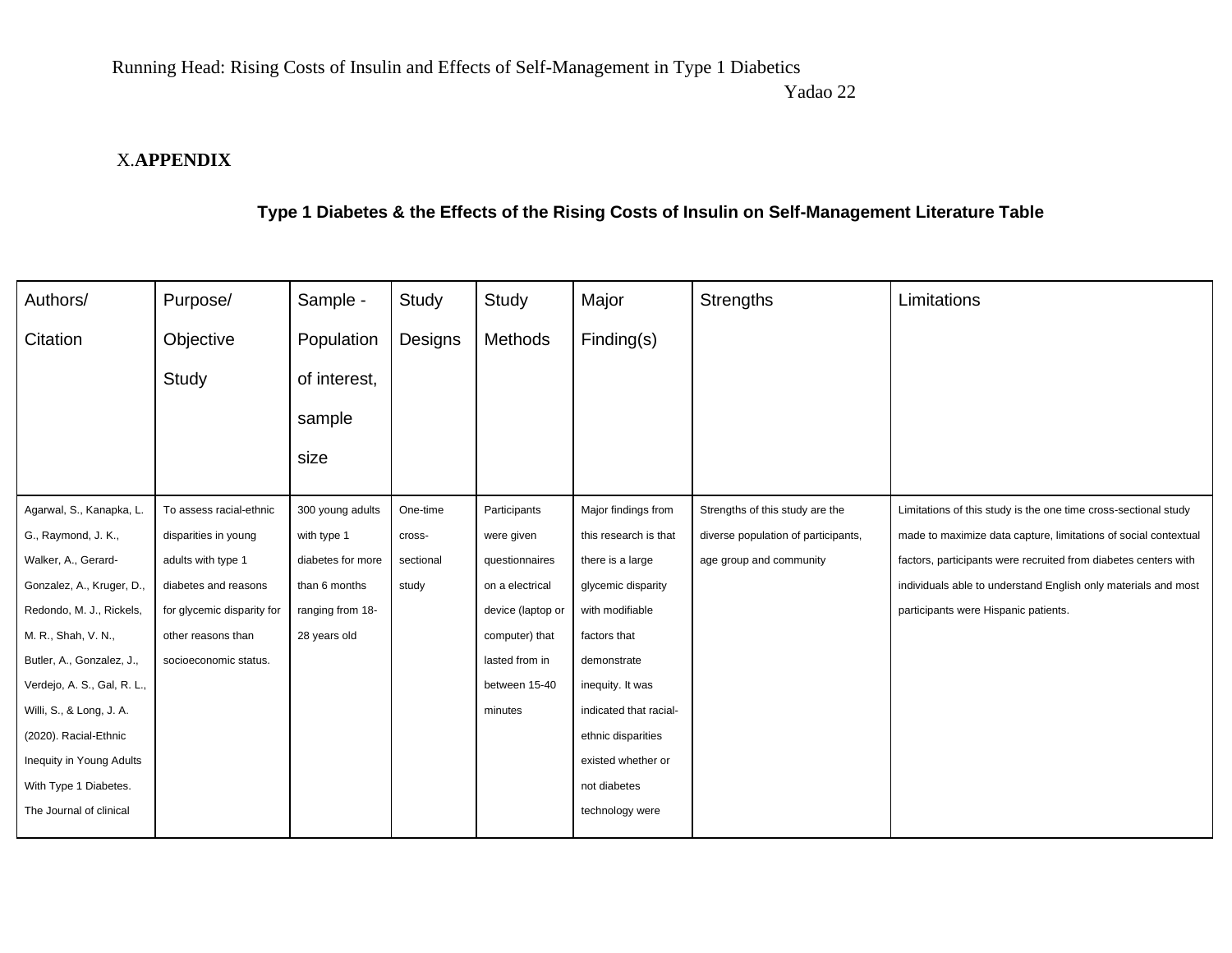Yadao 22

## X.**APPENDIX**

## **Type 1 Diabetes & the Effects of the Rising Costs of Insulin on Self-Management Literature Table**

| Authors/                    | Purpose/                   | Sample -          | Study     | Study             | Major                  | <b>Strengths</b>                    | Limitations                                                     |
|-----------------------------|----------------------------|-------------------|-----------|-------------------|------------------------|-------------------------------------|-----------------------------------------------------------------|
| Citation                    | Objective                  | Population        | Designs   | Methods           | Finding(s)             |                                     |                                                                 |
|                             | Study                      | of interest,      |           |                   |                        |                                     |                                                                 |
|                             |                            | sample            |           |                   |                        |                                     |                                                                 |
|                             |                            | size              |           |                   |                        |                                     |                                                                 |
|                             |                            |                   |           |                   |                        |                                     |                                                                 |
| Agarwal, S., Kanapka, L.    | To assess racial-ethnic    | 300 young adults  | One-time  | Participants      | Major findings from    | Strengths of this study are the     | Limitations of this study is the one time cross-sectional study |
| G., Raymond, J. K.,         | disparities in young       | with type 1       | cross-    | were given        | this research is that  | diverse population of participants, | made to maximize data capture, limitations of social contextual |
| Walker, A., Gerard-         | adults with type 1         | diabetes for more | sectional | questionnaires    | there is a large       | age group and community             | factors, participants were recruited from diabetes centers with |
| Gonzalez, A., Kruger, D.,   | diabetes and reasons       | than 6 months     | study     | on a electrical   | glycemic disparity     |                                     | individuals able to understand English only materials and most  |
| Redondo, M. J., Rickels,    | for glycemic disparity for | ranging from 18-  |           | device (laptop or | with modifiable        |                                     | participants were Hispanic patients.                            |
| M. R., Shah, V. N.,         | other reasons than         | 28 years old      |           | computer) that    | factors that           |                                     |                                                                 |
| Butler, A., Gonzalez, J.,   | socioeconomic status.      |                   |           | lasted from in    | demonstrate            |                                     |                                                                 |
| Verdejo, A. S., Gal, R. L., |                            |                   |           | between 15-40     | inequity. It was       |                                     |                                                                 |
| Willi, S., & Long, J. A.    |                            |                   |           | minutes           | indicated that racial- |                                     |                                                                 |
| (2020). Racial-Ethnic       |                            |                   |           |                   | ethnic disparities     |                                     |                                                                 |
| Inequity in Young Adults    |                            |                   |           |                   | existed whether or     |                                     |                                                                 |
| With Type 1 Diabetes.       |                            |                   |           |                   | not diabetes           |                                     |                                                                 |
| The Journal of clinical     |                            |                   |           |                   | technology were        |                                     |                                                                 |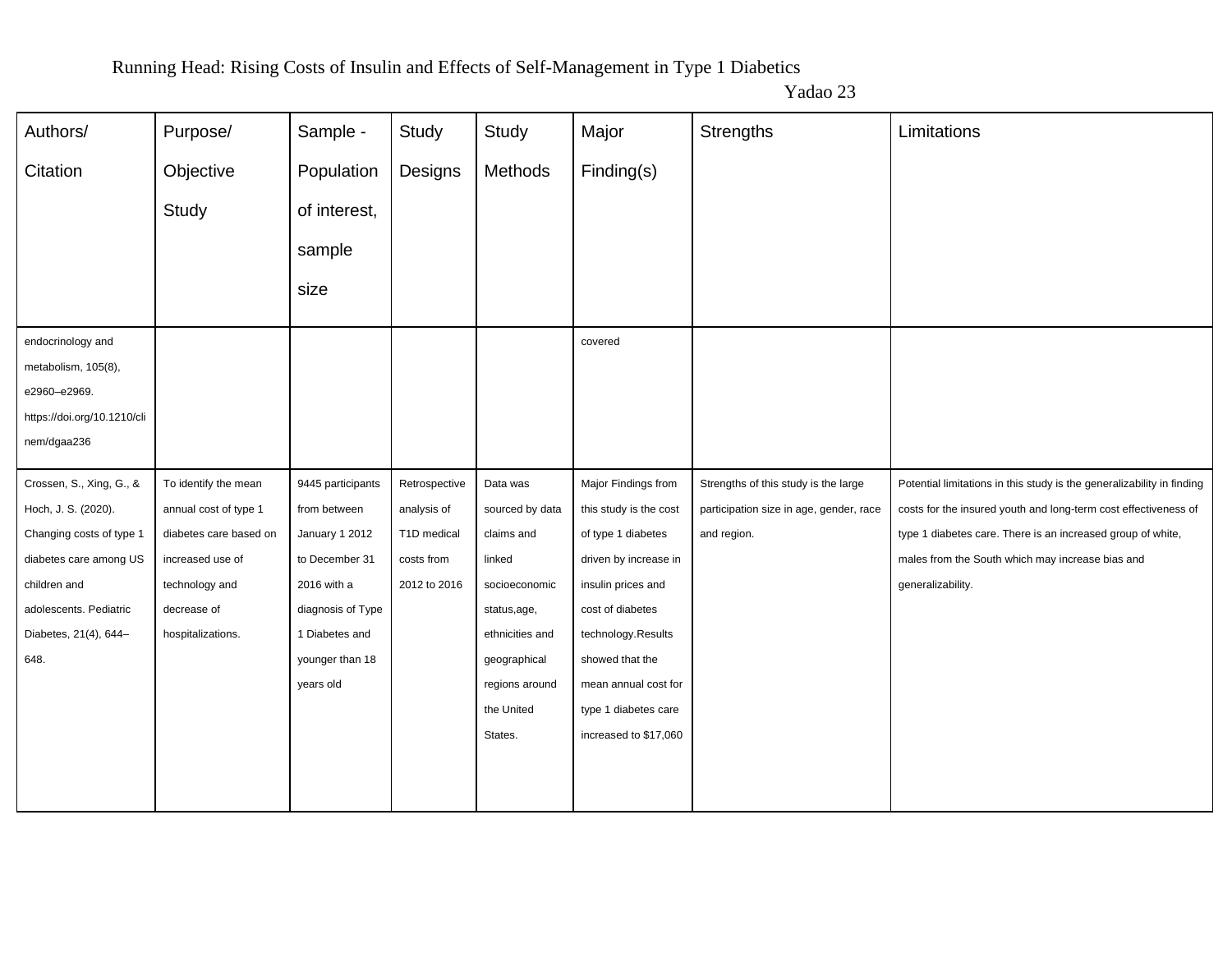| Authors/                    | Purpose/               | Sample -          | Study         | Study           | Major                  | <b>Strengths</b>                        | Limitations                                                            |
|-----------------------------|------------------------|-------------------|---------------|-----------------|------------------------|-----------------------------------------|------------------------------------------------------------------------|
| Citation                    | Objective              | Population        | Designs       | Methods         | Finding(s)             |                                         |                                                                        |
|                             | Study                  | of interest,      |               |                 |                        |                                         |                                                                        |
|                             |                        | sample            |               |                 |                        |                                         |                                                                        |
|                             |                        | size              |               |                 |                        |                                         |                                                                        |
| endocrinology and           |                        |                   |               |                 | covered                |                                         |                                                                        |
| metabolism, 105(8),         |                        |                   |               |                 |                        |                                         |                                                                        |
| e2960-e2969.                |                        |                   |               |                 |                        |                                         |                                                                        |
| https://doi.org/10.1210/cli |                        |                   |               |                 |                        |                                         |                                                                        |
| nem/dgaa236                 |                        |                   |               |                 |                        |                                         |                                                                        |
|                             |                        |                   |               |                 |                        |                                         |                                                                        |
| Crossen, S., Xing, G., &    | To identify the mean   | 9445 participants | Retrospective | Data was        | Major Findings from    | Strengths of this study is the large    | Potential limitations in this study is the generalizability in finding |
| Hoch, J. S. (2020).         | annual cost of type 1  | from between      | analysis of   | sourced by data | this study is the cost | participation size in age, gender, race | costs for the insured youth and long-term cost effectiveness of        |
| Changing costs of type 1    | diabetes care based on | January 1 2012    | T1D medical   | claims and      | of type 1 diabetes     | and region.                             | type 1 diabetes care. There is an increased group of white,            |
| diabetes care among US      | increased use of       | to December 31    | costs from    | linked          | driven by increase in  |                                         | males from the South which may increase bias and                       |
| children and                | technology and         | 2016 with a       | 2012 to 2016  | socioeconomic   | insulin prices and     |                                         | generalizability.                                                      |
| adolescents. Pediatric      | decrease of            | diagnosis of Type |               | status,age,     | cost of diabetes       |                                         |                                                                        |
| Diabetes, 21(4), 644-       | hospitalizations.      | 1 Diabetes and    |               | ethnicities and | technology.Results     |                                         |                                                                        |
| 648.                        |                        | younger than 18   |               | geographical    | showed that the        |                                         |                                                                        |
|                             |                        | years old         |               | regions around  | mean annual cost for   |                                         |                                                                        |
|                             |                        |                   |               | the United      | type 1 diabetes care   |                                         |                                                                        |
|                             |                        |                   |               | States.         | increased to \$17,060  |                                         |                                                                        |
|                             |                        |                   |               |                 |                        |                                         |                                                                        |
|                             |                        |                   |               |                 |                        |                                         |                                                                        |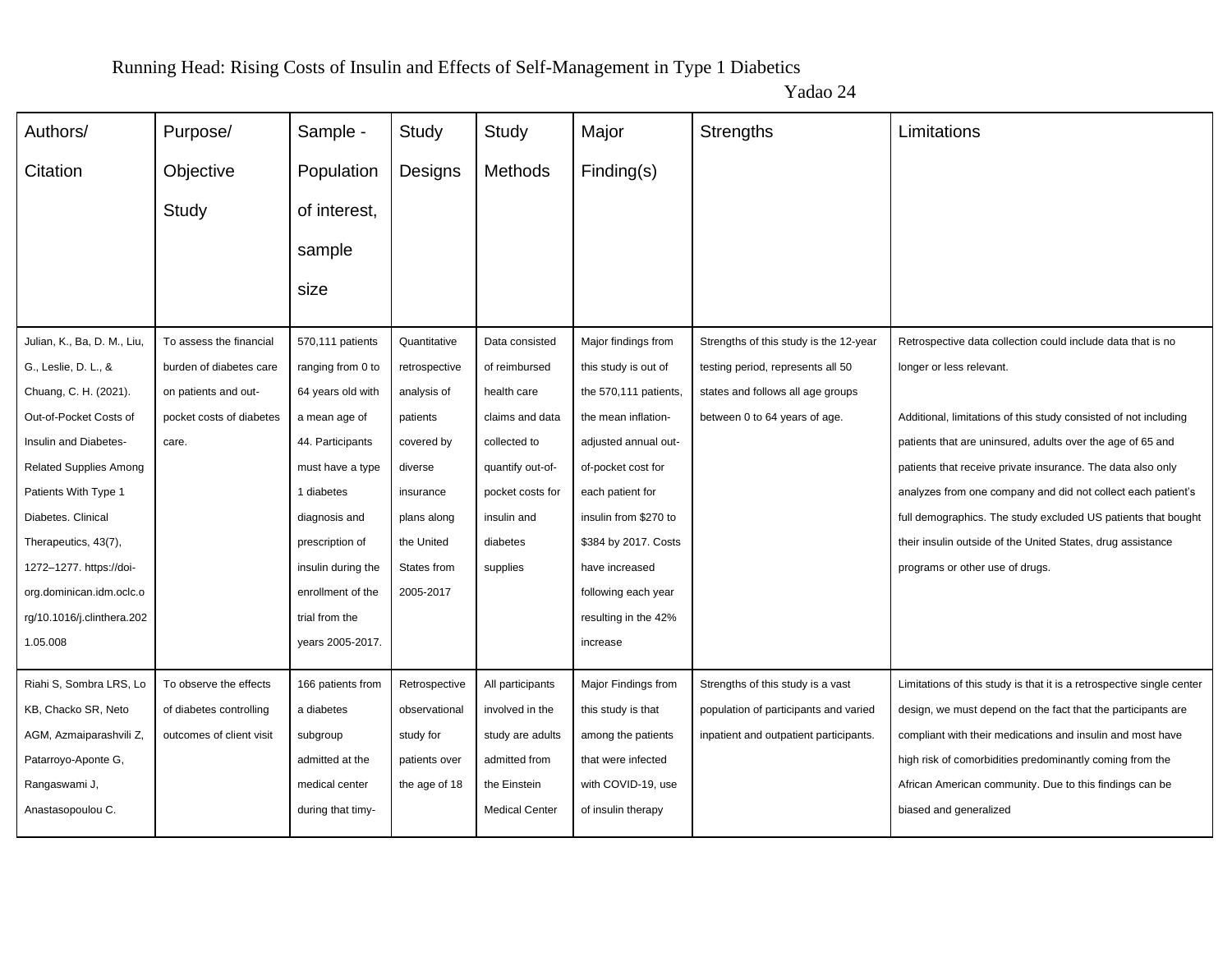| Authors/                      | Purpose/                 | Sample -           | Study         | Study                 | Major                 | Strengths                              | Limitations                                                           |
|-------------------------------|--------------------------|--------------------|---------------|-----------------------|-----------------------|----------------------------------------|-----------------------------------------------------------------------|
| Citation                      | Objective                | Population         | Designs       | Methods               | Finding(s)            |                                        |                                                                       |
|                               | Study                    | of interest,       |               |                       |                       |                                        |                                                                       |
|                               |                          |                    |               |                       |                       |                                        |                                                                       |
|                               |                          | sample             |               |                       |                       |                                        |                                                                       |
|                               |                          | size               |               |                       |                       |                                        |                                                                       |
|                               |                          |                    |               |                       |                       |                                        |                                                                       |
| Julian, K., Ba, D. M., Liu,   | To assess the financial  | 570,111 patients   | Quantitative  | Data consisted        | Major findings from   | Strengths of this study is the 12-year | Retrospective data collection could include data that is no           |
| G., Leslie, D. L., &          | burden of diabetes care  | ranging from 0 to  | retrospective | of reimbursed         | this study is out of  | testing period, represents all 50      | longer or less relevant.                                              |
| Chuang, C. H. (2021).         | on patients and out-     | 64 years old with  | analysis of   | health care           | the 570,111 patients, | states and follows all age groups      |                                                                       |
| Out-of-Pocket Costs of        | pocket costs of diabetes | a mean age of      | patients      | claims and data       | the mean inflation-   | between 0 to 64 years of age.          | Additional, limitations of this study consisted of not including      |
| Insulin and Diabetes-         | care.                    | 44. Participants   | covered by    | collected to          | adjusted annual out-  |                                        | patients that are uninsured, adults over the age of 65 and            |
| <b>Related Supplies Among</b> |                          | must have a type   | diverse       | quantify out-of-      | of-pocket cost for    |                                        | patients that receive private insurance. The data also only           |
| Patients With Type 1          |                          | 1 diabetes         | insurance     | pocket costs for      | each patient for      |                                        | analyzes from one company and did not collect each patient's          |
| Diabetes. Clinical            |                          | diagnosis and      | plans along   | insulin and           | insulin from \$270 to |                                        | full demographics. The study excluded US patients that bought         |
| Therapeutics, 43(7),          |                          | prescription of    | the United    | diabetes              | \$384 by 2017. Costs  |                                        | their insulin outside of the United States, drug assistance           |
| 1272-1277. https://doi-       |                          | insulin during the | States from   | supplies              | have increased        |                                        | programs or other use of drugs.                                       |
| org.dominican.idm.oclc.o      |                          | enrollment of the  | 2005-2017     |                       | following each year   |                                        |                                                                       |
| rg/10.1016/j.clinthera.202    |                          | trial from the     |               |                       | resulting in the 42%  |                                        |                                                                       |
| 1.05.008                      |                          | years 2005-2017.   |               |                       | increase              |                                        |                                                                       |
| Riahi S, Sombra LRS, Lo       | To observe the effects   | 166 patients from  | Retrospective | All participants      | Major Findings from   | Strengths of this study is a vast      | Limitations of this study is that it is a retrospective single center |
| KB, Chacko SR, Neto           | of diabetes controlling  | a diabetes         | observational | involved in the       | this study is that    | population of participants and varied  | design, we must depend on the fact that the participants are          |
| AGM, Azmaiparashvili Z,       | outcomes of client visit | subgroup           | study for     | study are adults      | among the patients    | inpatient and outpatient participants. | compliant with their medications and insulin and most have            |
| Patarroyo-Aponte G,           |                          | admitted at the    | patients over | admitted from         | that were infected    |                                        | high risk of comorbidities predominantly coming from the              |
| Rangaswami J,                 |                          | medical center     | the age of 18 | the Einstein          | with COVID-19, use    |                                        | African American community. Due to this findings can be               |
| Anastasopoulou C.             |                          | during that timy-  |               | <b>Medical Center</b> | of insulin therapy    |                                        | biased and generalized                                                |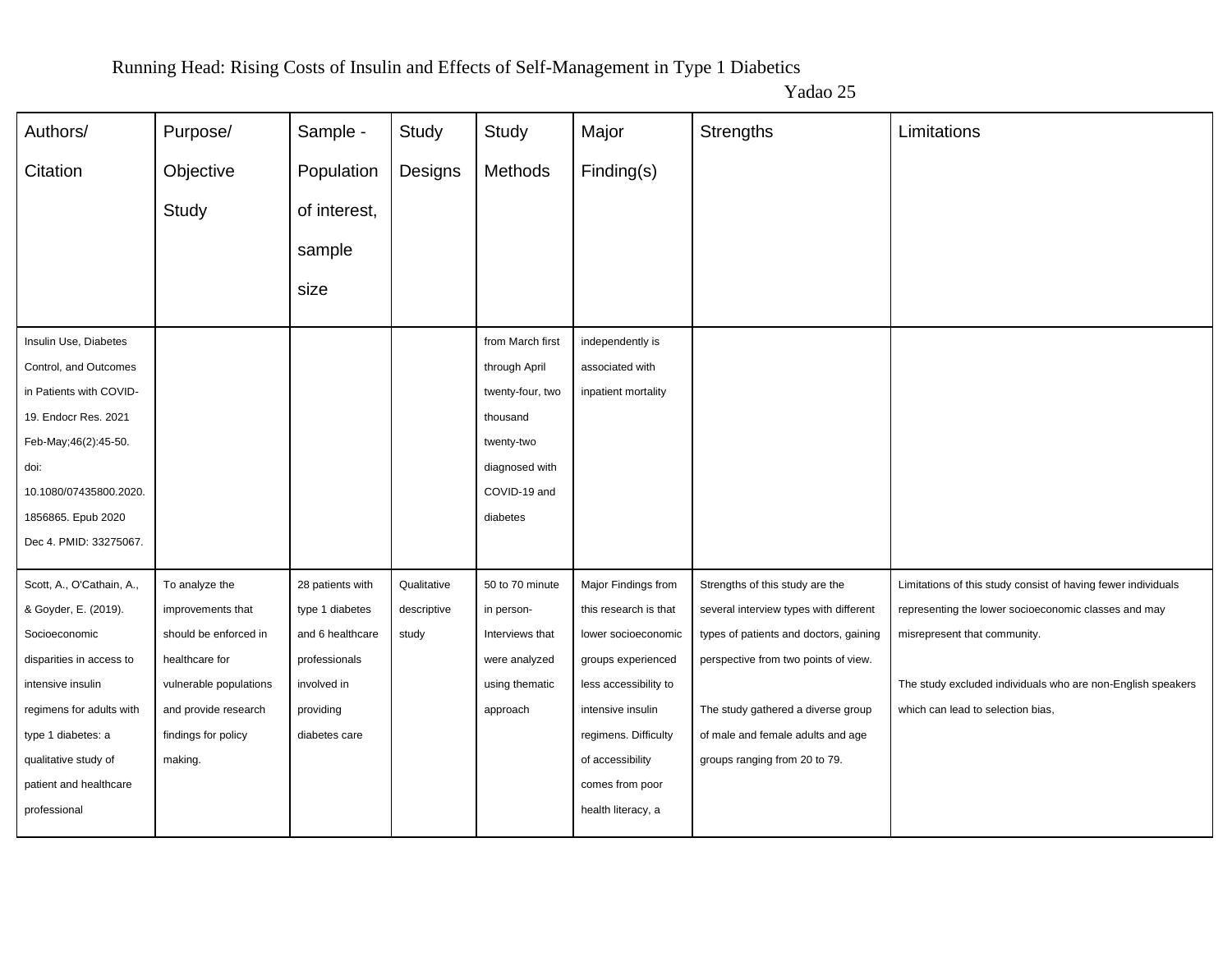| Authors/                  | Purpose/               | Sample -         | Study       | Study            | Major                 | Strengths                              | Limitations                                                   |
|---------------------------|------------------------|------------------|-------------|------------------|-----------------------|----------------------------------------|---------------------------------------------------------------|
| Citation                  | Objective              | Population       | Designs     | Methods          | Finding(s)            |                                        |                                                               |
|                           | Study                  | of interest,     |             |                  |                       |                                        |                                                               |
|                           |                        |                  |             |                  |                       |                                        |                                                               |
|                           |                        | sample           |             |                  |                       |                                        |                                                               |
|                           |                        | size             |             |                  |                       |                                        |                                                               |
| Insulin Use, Diabetes     |                        |                  |             | from March first | independently is      |                                        |                                                               |
| Control, and Outcomes     |                        |                  |             | through April    | associated with       |                                        |                                                               |
| in Patients with COVID-   |                        |                  |             | twenty-four, two | inpatient mortality   |                                        |                                                               |
| 19. Endocr Res. 2021      |                        |                  |             | thousand         |                       |                                        |                                                               |
| Feb-May;46(2):45-50.      |                        |                  |             | twenty-two       |                       |                                        |                                                               |
| doi:                      |                        |                  |             | diagnosed with   |                       |                                        |                                                               |
| 10.1080/07435800.2020.    |                        |                  |             | COVID-19 and     |                       |                                        |                                                               |
| 1856865. Epub 2020        |                        |                  |             | diabetes         |                       |                                        |                                                               |
| Dec 4. PMID: 33275067.    |                        |                  |             |                  |                       |                                        |                                                               |
| Scott, A., O'Cathain, A., | To analyze the         | 28 patients with | Qualitative | 50 to 70 minute  | Major Findings from   | Strengths of this study are the        | Limitations of this study consist of having fewer individuals |
| & Goyder, E. (2019).      | improvements that      | type 1 diabetes  | descriptive | in person-       | this research is that | several interview types with different | representing the lower socioeconomic classes and may          |
| Socioeconomic             | should be enforced in  | and 6 healthcare | study       | Interviews that  | lower socioeconomic   | types of patients and doctors, gaining | misrepresent that community.                                  |
| disparities in access to  | healthcare for         | professionals    |             | were analyzed    | groups experienced    | perspective from two points of view.   |                                                               |
| intensive insulin         | vulnerable populations | involved in      |             | using thematic   | less accessibility to |                                        | The study excluded individuals who are non-English speakers   |
| regimens for adults with  | and provide research   | providing        |             | approach         | intensive insulin     | The study gathered a diverse group     | which can lead to selection bias,                             |
| type 1 diabetes: a        | findings for policy    | diabetes care    |             |                  | regimens. Difficulty  | of male and female adults and age      |                                                               |
| qualitative study of      | making.                |                  |             |                  | of accessibility      | groups ranging from 20 to 79.          |                                                               |
| patient and healthcare    |                        |                  |             |                  | comes from poor       |                                        |                                                               |
| professional              |                        |                  |             |                  | health literacy, a    |                                        |                                                               |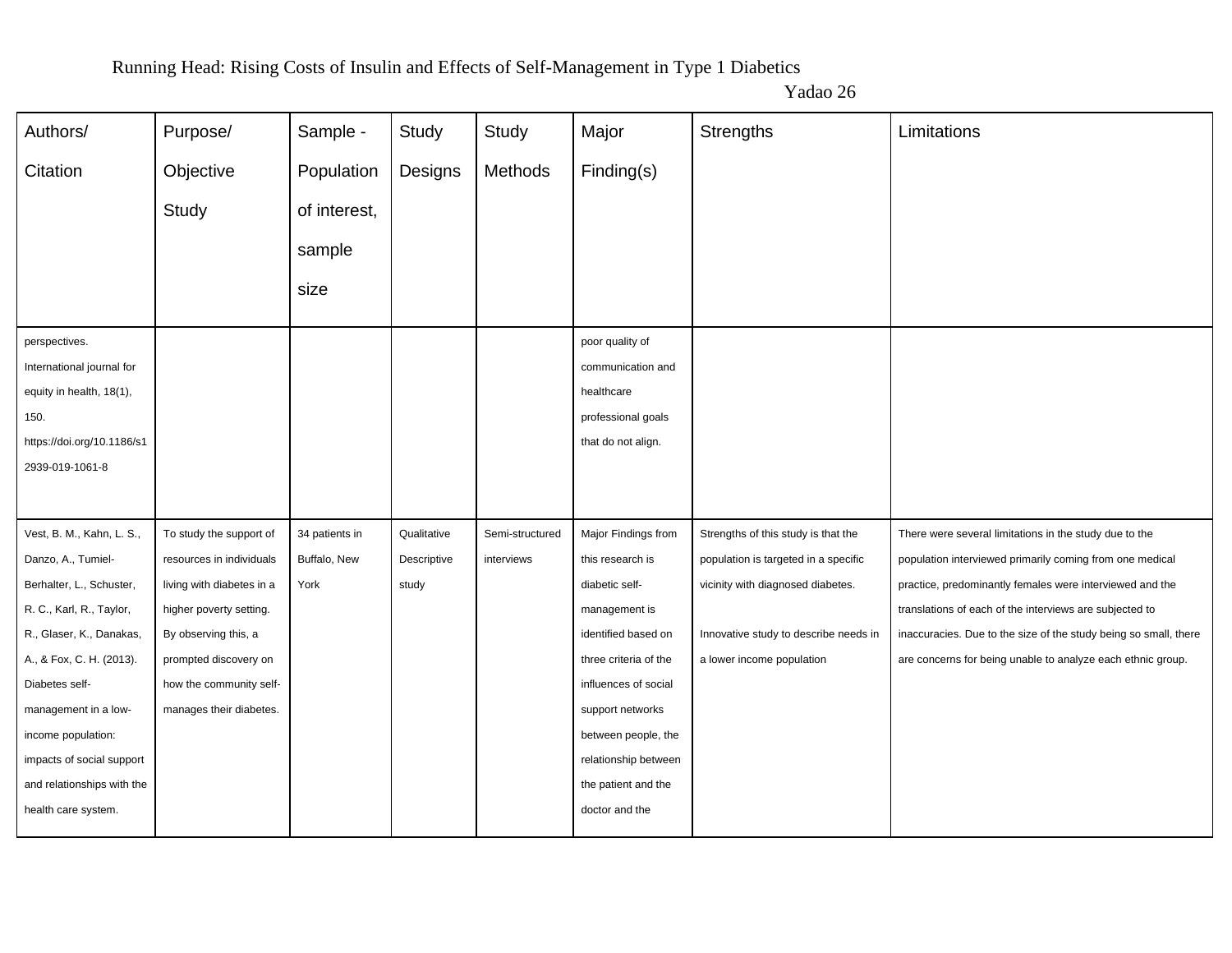| Authors/                   | Purpose/                  | Sample -       | Study       | Study           | Major                 | Strengths                             | Limitations                                                      |
|----------------------------|---------------------------|----------------|-------------|-----------------|-----------------------|---------------------------------------|------------------------------------------------------------------|
| Citation                   | Objective                 | Population     | Designs     | Methods         | Finding(s)            |                                       |                                                                  |
|                            | Study                     | of interest,   |             |                 |                       |                                       |                                                                  |
|                            |                           | sample         |             |                 |                       |                                       |                                                                  |
|                            |                           | size           |             |                 |                       |                                       |                                                                  |
| perspectives.              |                           |                |             |                 | poor quality of       |                                       |                                                                  |
| International journal for  |                           |                |             |                 | communication and     |                                       |                                                                  |
| equity in health, 18(1),   |                           |                |             |                 | healthcare            |                                       |                                                                  |
| 150.                       |                           |                |             |                 | professional goals    |                                       |                                                                  |
| https://doi.org/10.1186/s1 |                           |                |             |                 | that do not align.    |                                       |                                                                  |
| 2939-019-1061-8            |                           |                |             |                 |                       |                                       |                                                                  |
|                            |                           |                |             |                 |                       |                                       |                                                                  |
| Vest, B. M., Kahn, L. S.,  | To study the support of   | 34 patients in | Qualitative | Semi-structured | Major Findings from   | Strengths of this study is that the   | There were several limitations in the study due to the           |
| Danzo, A., Tumiel-         | resources in individuals  | Buffalo, New   | Descriptive | interviews      | this research is      | population is targeted in a specific  | population interviewed primarily coming from one medical         |
| Berhalter, L., Schuster,   | living with diabetes in a | York           | study       |                 | diabetic self-        | vicinity with diagnosed diabetes.     | practice, predominantly females were interviewed and the         |
| R. C., Karl, R., Taylor,   | higher poverty setting.   |                |             |                 | management is         |                                       | translations of each of the interviews are subjected to          |
| R., Glaser, K., Danakas,   | By observing this, a      |                |             |                 | identified based on   | Innovative study to describe needs in | inaccuracies. Due to the size of the study being so small, there |
| A., & Fox, C. H. (2013).   | prompted discovery on     |                |             |                 | three criteria of the | a lower income population             | are concerns for being unable to analyze each ethnic group.      |
| Diabetes self-             | how the community self-   |                |             |                 | influences of social  |                                       |                                                                  |
| management in a low-       | manages their diabetes.   |                |             |                 | support networks      |                                       |                                                                  |
| income population:         |                           |                |             |                 | between people, the   |                                       |                                                                  |
| impacts of social support  |                           |                |             |                 | relationship between  |                                       |                                                                  |
| and relationships with the |                           |                |             |                 | the patient and the   |                                       |                                                                  |
| health care system.        |                           |                |             |                 | doctor and the        |                                       |                                                                  |